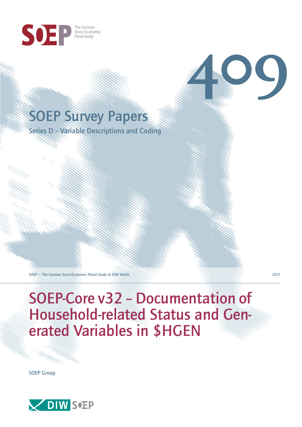

# SOEP Survey Papers

Series D – Variable Descriptions and Coding

SOEP — The German Socio-Economic Panel study at DIW Berlin 2017

**409**

SOEP-Core v32 – Documentation of Household-related Status and Generated Variables in \$HGEN

SOEP Group

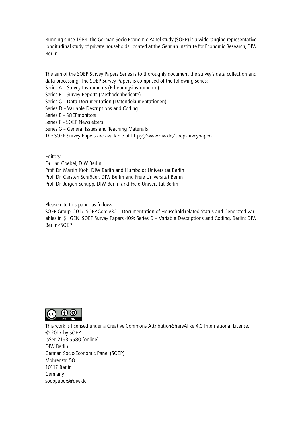Running since 1984, the German Socio-Economic Panel study (SOEP) is a wide-ranging representative longitudinal study of private households, located at the German Institute for Economic Research, DIW Berlin.

The aim of the SOEP Survey Papers Series is to thoroughly document the survey's data collection and data processing. The SOEP Survey Papers is comprised of the following series:

- Series A Survey Instruments (Erhebungsinstrumente)
- Series B Survey Reports (Methodenberichte)
- Series C Data Documentation (Datendokumentationen)
- Series D Variable Descriptions and Coding
- Series E SOEPmonitors
- Series F SOEP Newsletters
- Series G General Issues and Teaching Materials
- The SOEP Survey Papers are available at http://www.diw.de/soepsurveypapers

Editors:

Dr. Jan Goebel, DIW Berlin

- Prof. Dr. Martin Kroh, DIW Berlin and Humboldt Universität Berlin
- Prof. Dr. Carsten Schröder, DIW Berlin and Freie Universität Berlin
- Prof. Dr. Jürgen Schupp, DIW Berlin and Freie Universität Berlin

Please cite this paper as follows:

SOEP Group, 2017. SOEP-Core v32 – Documentation of Household-related Status and Generated Variables in \$HGEN. SOEP Survey Papers 409: Series D – Variable Descriptions and Coding. Berlin: DIW Berlin/SOEP



This work is licensed under a Creative Commons Attribution-ShareAlike 4.0 International License. © 2017 by SOEP ISSN: 2193-5580 (online) DIW Berlin German Socio-Economic Pan[el \(SOEP\)](http://creativecommons.org/licenses/by-sa/4.0/) Mohrenstr. 58 10117 Berlin Germany soeppapers@diw.de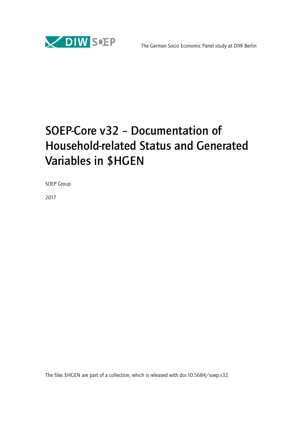

# SOEP-Core v32 – Documentation of Household-related Status and Generated Variables in \$HGEN

SOEP Group

2017

The files \$HGEN are part of a collection, which is released with doi:10.5684/soep.v32.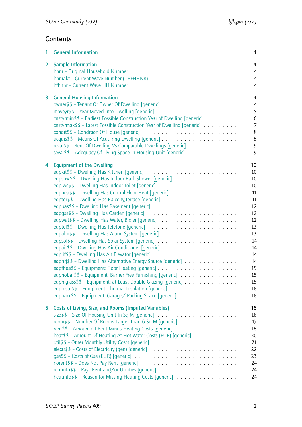## **Contents**

| 1              | <b>General Information</b>                                                                                                        | 4                                          |
|----------------|-----------------------------------------------------------------------------------------------------------------------------------|--------------------------------------------|
| $\overline{2}$ | <b>Sample Information</b>                                                                                                         | 4<br>$\overline{4}$<br>$\overline{4}$<br>4 |
| 3              | <b>General Housing Information</b>                                                                                                | 4                                          |
|                |                                                                                                                                   | $\overline{4}$                             |
|                |                                                                                                                                   | 5                                          |
|                | cnstyrmin\$\$ - Earliest Possible Construction Year of Dwelling [generic]                                                         | 6                                          |
|                | cnstyrmax\$\$ - Latest Possible Construction Year of Dwelling [generic]                                                           | 7                                          |
|                |                                                                                                                                   | 8                                          |
|                |                                                                                                                                   | 8<br>$\overline{9}$                        |
|                | reval\$\$ - Rent Of Dwelling Vs Comparable Dwellings [generic]<br>seval \$\$ - Adequacy Of Living Space In Housing Unit [generic] | 9                                          |
|                |                                                                                                                                   |                                            |
| 4              | 10<br><b>Equipment of the Dwelling</b>                                                                                            |                                            |
|                | 10                                                                                                                                |                                            |
|                | 10                                                                                                                                |                                            |
|                | 10                                                                                                                                |                                            |
|                |                                                                                                                                   | 11                                         |
|                |                                                                                                                                   | 11                                         |
|                | 12                                                                                                                                |                                            |
|                | 12                                                                                                                                |                                            |
|                | 12                                                                                                                                |                                            |
|                | 13                                                                                                                                |                                            |
|                | 13                                                                                                                                |                                            |
|                | 14                                                                                                                                |                                            |
|                |                                                                                                                                   | 14                                         |
|                |                                                                                                                                   | 14                                         |
|                | eqpnrj\$\$ - Dwelling Has Alternative Energy Source [generic]                                                                     | 14                                         |
|                | 15                                                                                                                                |                                            |
|                | 15                                                                                                                                |                                            |
|                | eqpmglass\$\$ - Equipment: at Least Double Glazing [generic]<br>15<br>16                                                          |                                            |
|                | eqppark\$\$ - Equipment: Garage/ Parking Space [generic]<br>16                                                                    |                                            |
|                |                                                                                                                                   |                                            |
| 5              | 16<br><b>Costs of Living, Size, and Rooms (Imputed Variables)</b>                                                                 |                                            |
|                | 16                                                                                                                                |                                            |
|                | room\$\$ - Number Of Rooms Larger Than 6 Sq M [generic]                                                                           | 17                                         |
|                | 18                                                                                                                                |                                            |
|                | heat\$\$ - Amount Of Heating At Hot Water Costs (EUR) [generic]<br>20                                                             |                                            |
|                | 21                                                                                                                                |                                            |
|                | 22                                                                                                                                |                                            |
|                | 23                                                                                                                                |                                            |
|                | 24                                                                                                                                |                                            |
|                | 24                                                                                                                                |                                            |
|                | 24                                                                                                                                |                                            |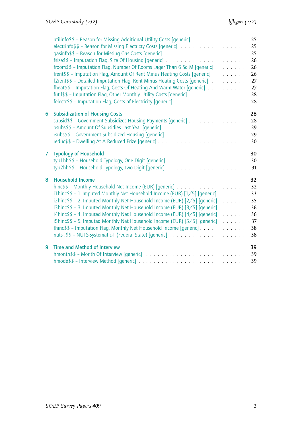|                | utilinfo\$\$ - Reason for Missing Additional Utility Costs [generic] $\ldots \ldots \ldots \ldots$<br>electrinfo\$\$ - Reason for Missing Electricty Costs [generic]<br>froom \$\$ - Imputation Flag, Number Of Rooms Lager Than 6 Sq M [generic]<br>frent\$\$ - Imputation Flag, Amount Of Rent Minus Heating Costs [generic]<br>f2rent\$\$ - Detailed Imputation Flag, Rent Minus Heating Costs [generic]<br>fheat\$\$ - Imputation Flag, Costs Of Heating And Warm Water [generic]<br>futil \$ \$ - Imputation Flag, Other Monthly Utility Costs [generic] | 25<br>25<br>25<br>26<br>26<br>26<br>27<br>27<br>$28\,$<br>28 |
|----------------|---------------------------------------------------------------------------------------------------------------------------------------------------------------------------------------------------------------------------------------------------------------------------------------------------------------------------------------------------------------------------------------------------------------------------------------------------------------------------------------------------------------------------------------------------------------|--------------------------------------------------------------|
| 6              | <b>Subsidization of Housing Costs</b><br>subsid\$\$ - Government Subsidizes Housing Payments [generic]                                                                                                                                                                                                                                                                                                                                                                                                                                                        | 28<br>28<br>29<br>29<br>30                                   |
| $\overline{7}$ | <b>Typology of Household</b>                                                                                                                                                                                                                                                                                                                                                                                                                                                                                                                                  | 30<br>30<br>31                                               |
| 8              | <b>Household Income</b><br>i1hinc\$\$ - 1. Imputed Monthly Net Household Income (EUR) $[1/5]$ [generic]<br>i2hinc\$\$ - 2. Imputed Monthly Net Household Income (EUR) [2/5] [generic]<br>i3hinc\$\$ - 3. Imputed Monthly Net Household Income (EUR) [3/5] [generic]<br>i4hinc\$\$ - 4. Imputed Monthly Net Household Income (EUR) [4/5] [generic]<br>i5hinc\$\$ - 5. Imputed Monthly Net Household Income (EUR) [5/5] [generic]<br>fhinc\$\$ - Imputation Flag, Monthly Net Household Income [generic]                                                        | 32<br>32<br>33<br>35<br>36<br>36<br>37<br>38<br>38           |
| 9              | <b>Time and Method of Interview</b>                                                                                                                                                                                                                                                                                                                                                                                                                                                                                                                           | 39<br>39<br>39                                               |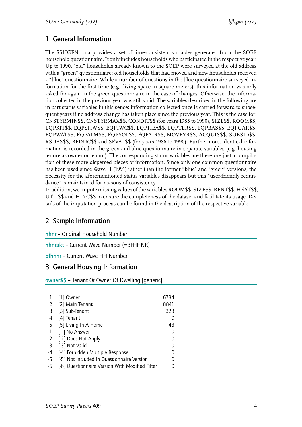## <span id="page-5-0"></span>1 General Information

The \$\$HGEN data provides a set of time-consistent variables generated from the SOEP household questionnaire. It only includes households who participated in the respective year. Up to 1990, "old" households already known to the SOEP were surveyed at the old address with a "green" questionnaire; old households that had moved and new households received a "blue" questionnaire. While a number of questions in the blue questionnaire surveyed information for the first time (e.g., living space in square meters), this information was only asked for again in the green questionnaire in the case of changes. Otherwise, the information collected in the previous year was still valid. The variables described in the following are in part status variables in this sense: information collected once is carried forward to subsequent years if no address change has taken place since the previous year. This is the case for: CNSTYRMIN\$\$, CNSTYRMAX\$\$, CONDIT\$\$ (for years 1985 to 1990), SIZE\$\$, ROOM\$\$, EQPKIT\$\$, EQPSHW\$\$, EQPIWC\$\$, EQPHEA\$\$, EQPTER\$\$, EQPBAS\$\$, EQPGAR\$\$, EQPWAT\$\$, EQPALM\$\$, EQPSOL\$\$, EQPAIR\$\$, MOVEYR\$\$, ACQUIS\$\$, SUBSID\$\$, RSUBS\$\$, REDUC\$\$ and SEVAL\$\$ (for years 1986 to 1990). Furthermore, identical information is recorded in the green and blue questionnaire in separate variables (e.g. housing tenure as owner or tenant). The corresponding status variables are therefore just a compilation of these more dispersed pieces of information. Since only one common questionnaire has been used since Wave H (1991) rather than the former "blue" and "green" versions, the necessity for the aforementioned status variables disappears but this "user-friendly redundance" is maintained for reasons of consistency.

In addition, we impute missing values of the variables ROOM\$\$, SIZE\$\$, RENT\$\$, HEAT\$\$, UTIL\$\$ and HINC\$\$ to ensure the completeness of the dataset and facilitate its usage. Details of the imputation process can be found in the description of the respective variable.

## <span id="page-5-1"></span>2 Sample Information

<span id="page-5-2"></span>hhnr – Original Household Number

<span id="page-5-3"></span>hhnrakt – Current Wave Number (=BFHHNR)

<span id="page-5-4"></span>bfhhnr – Current Wave HH Number

#### <span id="page-5-5"></span>3 General Housing Information

<span id="page-5-6"></span>owner\$\$ – Tenant Or Owner Of Dwelling [generic]

|                | [1] Owner                                       | 6784     |
|----------------|-------------------------------------------------|----------|
| 2              | [2] Main Tenant                                 | 8841     |
| $\overline{3}$ | [3] Sub-Tenant                                  | 323      |
| 4              | [4] Tenant                                      | O        |
| -5             | [5] Living In A Home                            | 43       |
| $-1$           | [-1] No Answer                                  |          |
| $-2$           | [-2] Does Not Apply                             |          |
| $-3$           | [-3] Not Valid                                  | $\left($ |
| $-4$           | [-4] Forbidden Multiple Response                | 0        |
| $-5$           | [-5] Not Included In Questionnaire Version      | ი        |
| -6             | [-6] Questionnaire Version With Modified Filter |          |
|                |                                                 |          |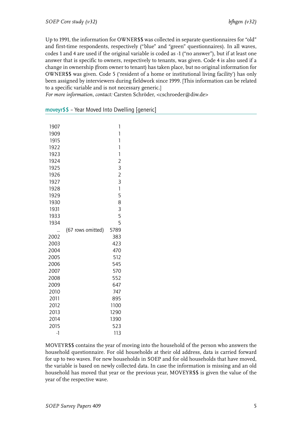Up to 1991, the information for OWNER\$\$ was collected in separate questionnaires for "old" and first-time respondents, respectively ("blue" and "green" questionnaires). In all waves, codes 1 and 4 are used if the original variable is coded as -1 ("no answer"), but if at least one answer that is specific to owners, respectively to tenants, was given. Code 4 is also used if a change in ownership (from owner to tenant) has taken place, but no original information for OWNER\$\$ was given. Code 5 ('resident of a home or institutional living facility') has only been assigned by interviewers during fieldwork since 1999. [This information can be related to a specific variable and is not necessary generic.]

*For more information, contact:* Carsten Schröder, <cschroeder@diw.de>

| 1907               |                   | 1              |
|--------------------|-------------------|----------------|
| 1909               |                   | 1              |
| 1915               |                   | 1              |
| 1922               |                   | 1              |
| 1923               |                   | 1              |
| 1924               |                   | $\overline{2}$ |
| 1925               |                   | 3              |
| 1926               |                   | $\overline{c}$ |
| 1927               |                   | $\overline{3}$ |
| 1928               |                   | $\overline{1}$ |
| 1929               |                   | 5              |
| 1930               |                   | 8              |
| 1931               |                   | 3              |
| 1933               |                   | 5              |
| 1934               |                   | 5              |
|                    | (67 rows omitted) | 5789           |
| 2002               |                   | 383            |
| 2003               |                   | 423            |
| 2004               |                   | 470            |
| 2005               |                   | 512            |
| 2006               |                   | 545            |
| 2007               |                   | 570            |
| 2008               |                   | 552            |
| 2009               |                   | 647            |
| 2010               |                   | 747            |
| 2011               |                   | 895            |
| 2012               |                   | 1100           |
| 2013               |                   | 1290           |
| 2014               |                   | 1390           |
| 2015               |                   | 523            |
| $\overline{\cdot}$ |                   | 113            |

<span id="page-6-0"></span>moveyr\$\$ – Year Moved Into Dwelling [generic]

MOVEYR\$\$ contains the year of moving into the household of the person who answers the household questionnaire. For old households at their old address, data is carried forward for up to two waves. For new households in SOEP and for old households that have moved, the variable is based on newly collected data. In case the information is missing and an old household has moved that year or the previous year, MOVEYR\$\$ is given the value of the year of the respective wave.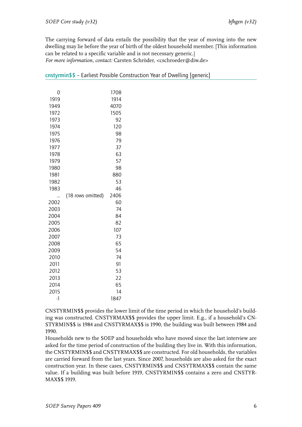The carrying forward of data entails the possibility that the year of moving into the new dwelling may lie before the year of birth of the oldest household member. [This information can be related to a specific variable and is not necessary generic.] *For more information, contact:* Carsten Schröder, <cschroeder@diw.de>

| 0    |                   | 1708 |
|------|-------------------|------|
| 1919 |                   | 1914 |
| 1949 |                   | 4070 |
| 1972 |                   | 1505 |
| 1973 |                   | 92   |
| 1974 |                   | 120  |
| 1975 |                   | 98   |
| 1976 |                   | 79   |
| 1977 |                   | 37   |
| 1978 |                   | 63   |
| 1979 |                   | 57   |
| 1980 |                   | 98   |
| 1981 |                   | 880  |
| 1982 |                   | 53   |
| 1983 |                   | 46   |
|      | (18 rows omitted) | 2406 |
| 2002 |                   | 60   |
| 2003 |                   | 74   |
| 2004 |                   | 84   |
| 2005 |                   | 82   |
| 2006 |                   | 107  |
| 2007 |                   | 73   |
| 2008 |                   | 65   |
| 2009 |                   | 54   |
| 2010 |                   | 74   |
| 2011 |                   | 91   |
| 2012 |                   | 53   |
| 2013 |                   | 22   |
| 2014 |                   | 65   |
| 2015 |                   | 14   |
| -1   |                   | 1847 |

<span id="page-7-0"></span>

| cnstyrmin\$\$ – Earliest Possible Construction Year of Dwelling [generic] |  |  |  |
|---------------------------------------------------------------------------|--|--|--|

CNSTYRMIN\$\$ provides the lower limit of the time period in which the household's building was constructed. CNSTYRMAX\$\$ provides the upper limit. E.g., if a household's CN-STYRMIN\$\$ is 1984 and CNSTYRMAX\$\$ is 1990, the building was built between 1984 and 1990.

Households new to the SOEP and households who have moved since the last interview are asked for the time period of construction of the building they live in. With this information, the CNSTYRMIN\$\$ and CNSTYRMAX\$\$ are constructed. For old households, the variables are carried forward from the last years. Since 2007, households are also asked for the exact construction year. In these cases, CNSTYRMIN\$\$ and CNSYTRMAX\$\$ contain the same value. If a building was built before 1919, CNSTYRMIN\$\$ contains a zero and CNSTYR-MAX\$\$ 1919.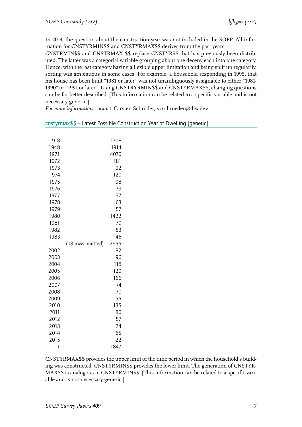In 2014, the question about the construction year was not included in the SOEP. All information for CNSTYRMIN\$\$ and CNSTYRMAX\$\$ derives from the past years.

CNSTRMIN\$\$ and CNSTRMAX \$\$ replace CNSTYR\$\$ that has previously been distributed. The latter was a categorial variable grouping about one deceny each into one category. Hence, with the last category having a flexible upper limitation and being split up regularily, sorting was ambiguous in some cases. For example, a household responding in 1995, that his house has been built "1981 or later" was not unambiguously assignable to either "1981- 1990" or "1991 or later". Using CNSTRYRMIN\$\$ and CNSTYRMAX\$\$, changing questions can be far better described. [This information can be related to a specific variable and is not necessary generic.]

*For more information, contact:* Carsten Schröder, <cschroeder@diw.de>

| 1918<br>1948<br>1971<br>1972<br>1973<br>1974<br>1975<br>1976<br>1977<br>1978<br>1979<br>1980<br>1981 |                   | 1708<br>1914<br>4070<br>181<br>92<br>120<br>98<br>79<br>37<br>63<br>57<br>1422<br>70 |  |
|------------------------------------------------------------------------------------------------------|-------------------|--------------------------------------------------------------------------------------|--|
| 1982                                                                                                 |                   | 53                                                                                   |  |
| 1983                                                                                                 |                   | 46                                                                                   |  |
|                                                                                                      | (18 rows omitted) | 2955                                                                                 |  |
| 2002                                                                                                 |                   | 82                                                                                   |  |
| 2003                                                                                                 |                   | 96                                                                                   |  |
| 2004                                                                                                 |                   | 118                                                                                  |  |
| 2005                                                                                                 |                   | 129                                                                                  |  |
| 2006                                                                                                 |                   | 166                                                                                  |  |
| 2007                                                                                                 |                   | 74                                                                                   |  |
| 2008                                                                                                 |                   | 70                                                                                   |  |
| 2009                                                                                                 |                   | 55                                                                                   |  |
| 2010                                                                                                 |                   | 135                                                                                  |  |
| 2011                                                                                                 |                   | 86                                                                                   |  |
| 2012                                                                                                 |                   | 57                                                                                   |  |
| 2013                                                                                                 |                   | 24                                                                                   |  |
| 2014                                                                                                 |                   | 65                                                                                   |  |
| 2015                                                                                                 |                   | 22                                                                                   |  |
| $-1$                                                                                                 |                   | 1847                                                                                 |  |

#### <span id="page-8-0"></span>cnstyrmax\$\$ – Latest Possible Construction Year of Dwelling [generic]

CNSTYRMAX\$\$ provides the upper limit of the time period in which the household's building was constructed. CNSTYRMIN\$\$ provides the lower limit. The generation of CNSTYR-MAX\$\$ is analogous to CNSTYRMIN\$\$. [This information can be related to a specific variable and is not necessary generic.]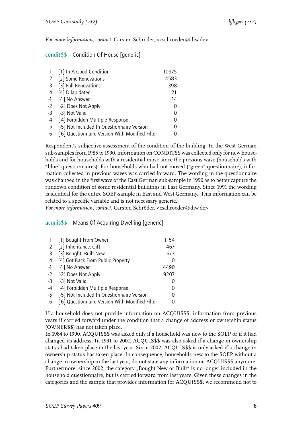*For more information, contact:* Carsten Schröder, <cschroeder@diw.de>

<span id="page-9-0"></span>

|  | condit\$\$ - Condition Of House [generic] |  |  |
|--|-------------------------------------------|--|--|
|--|-------------------------------------------|--|--|

|      | [1] In A Good Condition                         | 10975 |
|------|-------------------------------------------------|-------|
| 2    | [2] Some Renovations                            | 4583  |
| 3    | [3] Full Renovations                            | 398   |
| 4    | [4] Dilapidated                                 | 21    |
| $-1$ | [-1] No Answer                                  | 14    |
| $-2$ | [-2] Does Not Apply                             | ი     |
| $-3$ | [-3] Not Valid                                  |       |
| -4   | [-4] Forbidden Multiple Response                | ი     |
| $-5$ | [-5] Not Included In Questionnaire Version      | 0     |
| -6   | [-6] Questionnaire Version With Modified Filter |       |

Respondent's subjective assessment of the condition of the building. In the West German sub-samples from 1985 to 1990, information on CONDIT\$\$ was collected only for new households and for households with a residential move since the previous wave (households with "blue" questionnaires). For households who had not moved ("green" questionnaire), information collected in previous waves was carried forward. The wording in the questionnaire was changed in the first wave of the East German sub-sample in 1990 as to better capture the rundown condition of some residential buildings in East Germany. Since 1991 the wording is identical for the entire SOEP-sample in East and West Germany. [This information can be related to a specific variable and is not necessary generic.]

*For more information, contact:* Carsten Schröder, <cschroeder@diw.de>

#### <span id="page-9-1"></span>acquis\$\$ – Means Of Acquiring Dwelling [generic]

| [1] Bought From Owner                           | 1154             |
|-------------------------------------------------|------------------|
| [2] Inheritance, Gift                           | 467              |
| [3] Bought, Built New                           | 673              |
| [4] Got Back From Public Property               | $\mathcal{L}$    |
| [-1] No Answer                                  | 4490             |
| [-2] Does Not Apply<br>$-2$                     | 9207             |
| [-3] Not Valid                                  | $\left( \right)$ |
| [-4] Forbidden Multiple Response                |                  |
| [-5] Not Included In Questionnaire Version      | ი                |
| [-6] Questionnaire Version With Modified Filter |                  |
|                                                 |                  |

If a household does not provide information on ACQUIS\$\$, information from previous years if carried forward under the condition that a change of address or ownership status (OWNER\$\$) has not taken place.

In 1984 to 1990, ACQUIS\$\$ was asked only if a household was new to the SOEP or if it had changed its address. In 1991 to 2001, ACQUIS\$\$ was also asked if a change in ownership status had taken place in the last year. Since 2002, ACQUIS\$\$ is only asked if a change in ownership status has taken place. In consequence, households new to the SOEP without a change in ownership in the last year, do not state any information on ACQUIS\$\$ anymore. Furthermore, since 2002, the category "Bought New or Built" is no longer included in the household questionnaire, but is carried forward from last years. Given these changes in the categories and the sample that provides information for ACQUIS\$\$, we recommend not to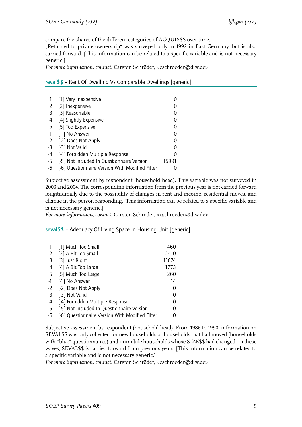compare the shares of the different categories of ACQUIS\$\$ over time.

"Returned to private ownership" was surveyed only in 1992 in East Germany, but is also carried forward. [This information can be related to a specific variable and is not necessary generic.]

*For more information, contact:* Carsten Schröder, <cschroeder@diw.de>

<span id="page-10-0"></span>reval\$\$ – Rent Of Dwelling Vs Comparable Dwellings [generic]

|      | [1] Very Inexpensive                            |          |
|------|-------------------------------------------------|----------|
| 2    | [2] Inexpensive                                 |          |
| 3    | [3] Reasonable                                  |          |
| 4    | [4] Slightly Expensive                          |          |
| 5    | [5] Too Expensive                               | $\left($ |
| -1   | [-1] No Answer                                  | 0        |
|      | -2 [-2] Does Not Apply                          |          |
| $-3$ | [-3] Not Valid                                  |          |
| -4   | [-4] Forbidden Multiple Response                |          |
| -5   | [-5] Not Included In Questionnaire Version      | 15991    |
| -6   | [-6] Questionnaire Version With Modified Filter |          |

Subjective assessment by respondent (household head). This variable was not surveyed in 2003 and 2004. The corresponding information from the previous year is not carried forward longitudinally due to the possibility of changes in rent and income, residential moves, and change in the person responding. [This information can be related to a specific variable and is not necessary generic.]

*For more information, contact:* Carsten Schröder, <cschroeder@diw.de>

<span id="page-10-1"></span>seval\$\$ – Adequacy Of Living Space In Housing Unit [generic]

|      | [1] Much Too Small                              | 460   |
|------|-------------------------------------------------|-------|
| 2    | [2] A Bit Too Small                             | 2410  |
| 3    | [3] Just Right                                  | 11074 |
| 4    | [4] A Bit Too Large                             | 1773  |
| -5   | [5] Much Too Large                              | 260   |
| $-1$ | [-1] No Answer                                  | 14    |
| $-2$ | [-2] Does Not Apply                             | O     |
| $-3$ | [-3] Not Valid                                  | 0     |
| -4   | [-4] Forbidden Multiple Response                | 0     |
| -5   | [-5] Not Included In Questionnaire Version      | ი     |
| -6   | [-6] Questionnaire Version With Modified Filter | O     |

Subjective assessment by respondent (household head). From 1986 to 1990, information on SEVAL\$\$ was only collected for new households or households that had moved (households with "blue" questionnaires) and immobile households whose SIZE\$\$ had changed. In these waves, SEVAL\$\$ is carried forward from previous years. [This information can be related to a specific variable and is not necessary generic.]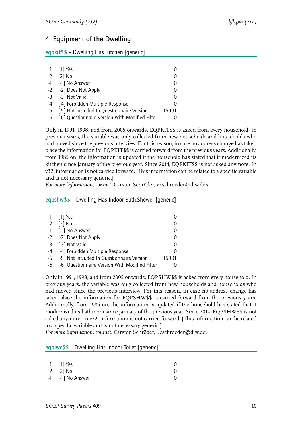## <span id="page-11-0"></span>4 Equipment of the Dwelling

<span id="page-11-1"></span>eqpkit\$\$ – Dwelling Has Kitchen [generic]

|                | 1 [1] Yes                                       |          |
|----------------|-------------------------------------------------|----------|
| $\overline{2}$ | $[2]$ No                                        |          |
|                | -1 [-1] No Answer                               |          |
|                | -2 [-2] Does Not Apply                          | 0        |
|                | -3 [-3] Not Valid                               | $\Omega$ |
|                | -4 [-4] Forbidden Multiple Response             |          |
|                | -5 [-5] Not Included In Questionnaire Version   | 15991    |
| $-6$           | [-6] Questionnaire Version With Modified Filter |          |

Only in 1991, 1998, and from 2005 onwards, EQPKIT\$\$ is asked from every household. In previous years, the variable was only collected from new households and households who had moved since the previous interview. For this reason, in case no address change has taken place the information for EQPKIT\$\$ is carried forward from the previous years. Additionally, from 1985 on, the information is updated if the household has stated that it modernized its kitchen since January of the previous year. Since 2014, EQPKIT\$\$ is not asked anymore. In v32, information is not carried forward. [This information can be related to a specific variable and is not necessary generic.]

*For more information, contact:* Carsten Schröder, <cschroeder@diw.de>

#### <span id="page-11-2"></span>eqpshw\$\$ – Dwelling Has Indoor Bath,Shower [generic]

|    | 1 [1] Yes                                       |               |
|----|-------------------------------------------------|---------------|
| 2  | $[2]$ No                                        |               |
|    | -1 [-1] No Answer                               | $\mathcal{L}$ |
|    | -2 [-2] Does Not Apply                          | $\mathcal{L}$ |
|    | -3 [-3] Not Valid                               | $\mathcal{L}$ |
|    | -4 [-4] Forbidden Multiple Response             |               |
|    | -5 [-5] Not Included In Questionnaire Version   | 15991         |
| -6 | [-6] Questionnaire Version With Modified Filter |               |

Only in 1991, 1998, and from 2005 onwards, EQPSHW\$\$ is asked from every household. In previous years, the variable was only collected from new households and households who had moved since the previous interview. For this reason, in case no address change has taken place the information for EQPSHW\$\$ is carried forward from the previous years. Additionally, from 1985 on, the information is updated if the household has stated that it modernized its bathroom since January of the previous year. Since 2014, EQPSHW\$\$ is not asked anymore. In v32, information is not carried forward. [This information can be related to a specific variable and is not necessary generic.]

*For more information, contact:* Carsten Schröder, <cschroeder@diw.de>

#### <span id="page-11-3"></span>eqpiwc\$\$ – Dwelling Has Indoor Toilet [generic]

| $1$ [1] Yes       |  |
|-------------------|--|
| 2 $[2]$ No        |  |
| -1 [-1] No Answer |  |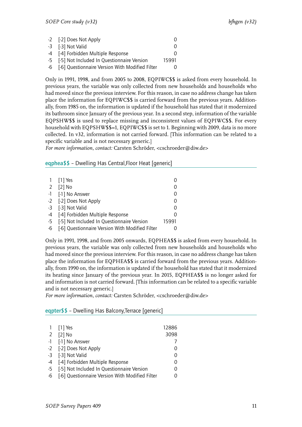| -2 [-2] Does Not Apply                             |                  |
|----------------------------------------------------|------------------|
| -3 [-3] Not Valid                                  | $\mathcal{L}$    |
| -4 [-4] Forbidden Multiple Response                | $\left( \right)$ |
| -5 [-5] Not Included In Questionnaire Version      | 15991            |
| -6 [-6] Questionnaire Version With Modified Filter |                  |

Only in 1991, 1998, and from 2005 to 2008, EQPIWC\$\$ is asked from every household. In previous years, the variable was only collected from new households and households who had moved since the previous interview. For this reason, in case no address change has taken place the information for EQPIWC\$\$ is carried forward from the previous years. Additionally, from 1985 on, the information is updated if the household has stated that it modernized its bathroom since January of the previous year. In a second step, information of the variable EQPSHW\$\$ is used to replace missing and inconsistent values of EQPIWC\$\$. For every household with EQPSHW\$\$=1, EQPIWC\$\$ is set to 1. Beginning with 2009, data is no more collected. In v32, information is not carried forward. [This information can be related to a specific variable and is not necessary generic.]

*For more information, contact:* Carsten Schröder, <cschroeder@diw.de>

<span id="page-12-0"></span>eqphea\$\$ – Dwelling Has Central,Floor Heat [generic]

|                | 1 [1] Yes                                       |       |
|----------------|-------------------------------------------------|-------|
| $\overline{2}$ | $[2]$ No                                        |       |
|                | -1 [-1] No Answer                               |       |
|                | -2 [-2] Does Not Apply                          |       |
|                | -3 [-3] Not Valid                               |       |
|                | -4 [-4] Forbidden Multiple Response             |       |
|                | -5 [-5] Not Included In Questionnaire Version   | 15991 |
| -6             | [-6] Questionnaire Version With Modified Filter |       |

Only in 1991, 1998, and from 2005 onwards, EQPHEA\$\$ is asked from every household. In previous years, the variable was only collected from new households and households who had moved since the previous interview. For this reason, in case no address change has taken place the information for EQPHEA\$\$ is carried forward from the previous years. Additionally, from 1990 on, the information is updated if the household has stated that it modernized its heating since January of the previous year. In 2015, EQPHEA\$\$ is no longer asked for and information is not carried forward. [This information can be related to a specific variable and is not necessary generic.]

*For more information, contact:* Carsten Schröder, <cschroeder@diw.de>

<span id="page-12-1"></span>eqpter\$\$ – Dwelling Has Balcony,Terrace [generic]

| $[2]$ No<br>2<br>-1 [-1] No Answer<br>-2 [-2] Does Not Apply<br>-3 [-3] Not Valid<br>-4 [-4] Forbidden Multiple Response<br>-5 [-5] Not Included In Questionnaire Version<br>-6 [-6] Questionnaire Version With Modified Filter | 1 [1] Yes | 12886    |
|---------------------------------------------------------------------------------------------------------------------------------------------------------------------------------------------------------------------------------|-----------|----------|
|                                                                                                                                                                                                                                 |           | 3098     |
|                                                                                                                                                                                                                                 |           |          |
|                                                                                                                                                                                                                                 |           | $\Omega$ |
|                                                                                                                                                                                                                                 |           | 0        |
|                                                                                                                                                                                                                                 |           | 0        |
|                                                                                                                                                                                                                                 |           | O        |
|                                                                                                                                                                                                                                 |           | 0        |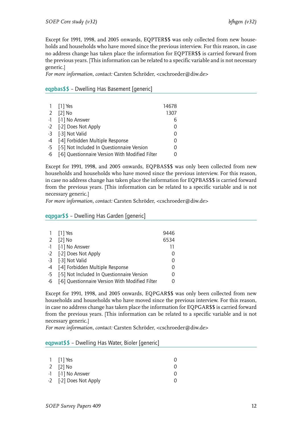Except for 1991, 1998, and 2005 onwards, EQPTER\$\$ was only collected from new households and households who have moved since the previous interview. For this reason, in case no address change has taken place the information for EQPTER\$\$ is carried forward from the previous years. [This information can be related to a specific variable and is not necessary generic.]

*For more information, contact:* Carsten Schröder, <cschroeder@diw.de>

#### <span id="page-13-0"></span>eqpbas\$\$ – Dwelling Has Basement [generic]

|    | 1 [1] Yes                                       | 14678    |
|----|-------------------------------------------------|----------|
| 2  | $[2]$ No                                        | 1307     |
|    | -1 [-1] No Answer                               | 6        |
|    | -2 [-2] Does Not Apply                          |          |
|    | -3 [-3] Not Valid                               | 0        |
|    | -4 [-4] Forbidden Multiple Response             | 0        |
|    | -5 [-5] Not Included In Questionnaire Version   | $\Omega$ |
| -6 | [-6] Questionnaire Version With Modified Filter |          |

Except for 1991, 1998, and 2005 onwards, EQPBAS\$\$ was only been collected from new households and households who have moved since the previous interview. For this reason, in case no address change has taken place the information for EQPBAS\$\$ is carried forward from the previous years. [This information can be related to a specific variable and is not necessary generic.]

*For more information, contact:* Carsten Schröder, <cschroeder@diw.de>

#### <span id="page-13-1"></span>eqpgar\$\$ – Dwelling Has Garden [generic]

|      | 1 [1] Yes                                          | 9446             |
|------|----------------------------------------------------|------------------|
| 2    | $[2]$ No                                           | 6534             |
|      | -1 [-1] No Answer                                  | 11               |
|      | -2 [-2] Does Not Apply                             |                  |
|      | -3 [-3] Not Valid                                  | $\Omega$         |
|      | -4 [-4] Forbidden Multiple Response                | 0                |
| $-5$ | [-5] Not Included In Questionnaire Version         | $\Omega$         |
|      | -6 [-6] Questionnaire Version With Modified Filter | $\left( \right)$ |

Except for 1991, 1998, and 2005 onwards, EQPGAR\$\$ was only been collected from new households and households who have moved since the previous interview. For this reason, in case no address change has taken place the information for EQPGAR\$\$ is carried forward from the previous years. [This information can be related to a specific variable and is not necessary generic.]

*For more information, contact:* Carsten Schröder, <cschroeder@diw.de>

#### <span id="page-13-2"></span>eqpwat\$\$ – Dwelling Has Water, Bioler [generic]

| $1$ [1] Yes            |  |
|------------------------|--|
| 2 [2] No               |  |
| -1 [-1] No Answer      |  |
| -2 [-2] Does Not Apply |  |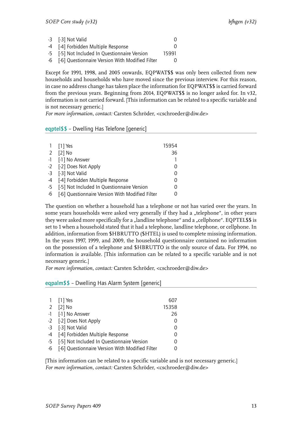| -3 [-3] Not Valid                                  |       |
|----------------------------------------------------|-------|
| -4 [-4] Forbidden Multiple Response                |       |
| -5 [-5] Not Included In Questionnaire Version      | 15991 |
| -6 [-6] Questionnaire Version With Modified Filter |       |

Except for 1991, 1998, and 2005 onwards, EQPWAT\$\$ was only been collected from new households and households who have moved since the previous interview. For this reason, in case no address change has taken place the information for EQPWAT\$\$ is carried forward from the previous years. Beginning from 2014, EQPWAT\$\$ is no longer asked for. In v32, information is not carried forward. [This information can be related to a specific variable and is not necessary generic.]

*For more information, contact:* Carsten Schröder, <cschroeder@diw.de>

<span id="page-14-0"></span>eqptel\$\$ – Dwelling Has Telefone [generic]

|   | 1 [1] Yes                                          | 15954    |
|---|----------------------------------------------------|----------|
| 2 | $[2]$ No                                           | 36       |
|   | -1 [-1] No Answer                                  |          |
|   | -2 [-2] Does Not Apply                             |          |
|   | -3 [-3] Not Valid                                  |          |
|   | -4 [-4] Forbidden Multiple Response                | $\left($ |
|   | -5 [-5] Not Included In Questionnaire Version      |          |
|   | -6 [-6] Questionnaire Version With Modified Filter |          |

The question on whether a household has a telephone or not has varied over the years. In some years households were asked very generally if they had a "telephone", in other years they were asked more specifically for a "landline telephone" and a "cellphone". EQPTEL\$\$ is set to 1 when a household stated that it had a telephone, landline telephone, or cellphone. In addition, information from \$HBRUTTO (\$HTEL) is used to complete missing information. In the years 1997, 1999, and 2009, the household questionnaire contained no information on the possession of a telephone and \$HBRUTTO is the only source of data. For 1994, no information is available. [This information can be related to a specific variable and is not necessary generic.]

*For more information, contact:* Carsten Schröder, <cschroeder@diw.de>

#### <span id="page-14-1"></span>eqpalm\$\$ – Dwelling Has Alarm System [generic]

|    | 1 [1] Yes                                       | 607              |  |
|----|-------------------------------------------------|------------------|--|
|    | 2 [2] No                                        | 15358            |  |
|    | -1 [-1] No Answer                               | 26               |  |
|    | -2 [-2] Does Not Apply                          | $\left( \right)$ |  |
|    | -3 [-3] Not Valid                               | 0                |  |
|    | -4 [-4] Forbidden Multiple Response             | $\Omega$         |  |
|    | -5 [-5] Not Included In Questionnaire Version   | $\mathcal{O}$    |  |
| -6 | [-6] Questionnaire Version With Modified Filter |                  |  |

[This information can be related to a specific variable and is not necessary generic.] *For more information, contact:* Carsten Schröder, <cschroeder@diw.de>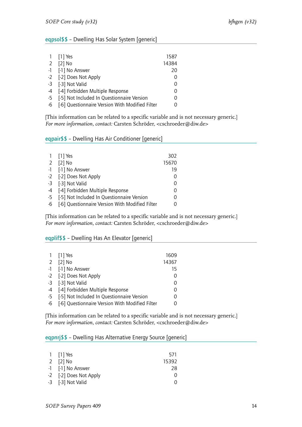#### <span id="page-15-0"></span>eqpsol\$\$ – Dwelling Has Solar System [generic]

|    | 1 [1] Yes                                       | 1587  |
|----|-------------------------------------------------|-------|
|    | 2 [2] No                                        | 14384 |
|    | -1 [-1] No Answer                               | 20    |
|    | -2 [-2] Does Not Apply                          | 0     |
|    | -3 [-3] Not Valid                               | 0     |
|    | -4 [-4] Forbidden Multiple Response             | 0     |
|    | -5 [-5] Not Included In Questionnaire Version   | 0     |
| -6 | [-6] Questionnaire Version With Modified Filter |       |

[This information can be related to a specific variable and is not necessary generic.] *For more information, contact:* Carsten Schröder, <cschroeder@diw.de>

<span id="page-15-1"></span>eqpair\$\$ – Dwelling Has Air Conditioner [generic]

|    | 1 [1] Yes                                       | 302      |
|----|-------------------------------------------------|----------|
| 2  | $[2]$ No                                        | 15670    |
|    | -1 [-1] No Answer                               | 19       |
|    | -2 [-2] Does Not Apply                          | 0        |
|    | -3 [-3] Not Valid                               | 0        |
|    | -4 [-4] Forbidden Multiple Response             | Ω        |
|    | -5 [-5] Not Included In Questionnaire Version   | $\Omega$ |
| -6 | [-6] Questionnaire Version With Modified Filter |          |

[This information can be related to a specific variable and is not necessary generic.] *For more information, contact:* Carsten Schröder, <cschroeder@diw.de>

#### <span id="page-15-2"></span>eqplif\$\$ – Dwelling Has An Elevator [generic]

|    | 1 [1] Yes                                       | 1609     |
|----|-------------------------------------------------|----------|
| 2  | $[2]$ No                                        | 14367    |
|    | -1 [-1] No Answer                               | 15       |
|    | -2 [-2] Does Not Apply                          | 0        |
|    | -3 [-3] Not Valid                               | 0        |
|    | -4 [-4] Forbidden Multiple Response             | 0        |
|    | -5 [-5] Not Included In Questionnaire Version   | $\Omega$ |
| -6 | [-6] Questionnaire Version With Modified Filter |          |

[This information can be related to a specific variable and is not necessary generic.] *For more information, contact:* Carsten Schröder, <cschroeder@diw.de>

#### <span id="page-15-3"></span>eqpnrj\$\$ – Dwelling Has Alternative Energy Source [generic]

| $1$ [1] Yes            | 571      |
|------------------------|----------|
| 2 $[2]$ No             | 15392    |
| -1 [-1] No Answer      | 28       |
| -2 [-2] Does Not Apply | $\Omega$ |
| -3 [-3] Not Valid      | $\cup$   |
|                        |          |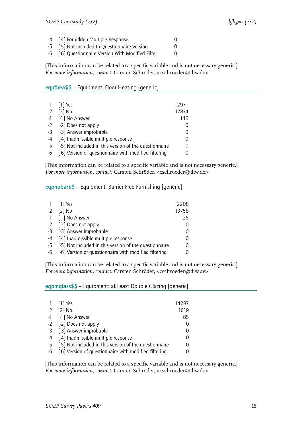| -4 [-4] Forbidden Multiple Response            |  |
|------------------------------------------------|--|
| $\Gamma$ is it is a set of the set of $\Gamma$ |  |

-5 [-5] Not Included In Questionnaire Version 0

-6 [-6] Questionnaire Version With Modified Filter 0

[This information can be related to a specific variable and is not necessary generic.] *For more information, contact:* Carsten Schröder, <cschroeder@diw.de>

<span id="page-16-0"></span>eqpfhea\$\$ – Equipment: Floor Heating [generic]

|    | 1 [1] Yes                                                 | 2971  |
|----|-----------------------------------------------------------|-------|
| 2  | $[2]$ No                                                  | 12874 |
|    | -1 [-1] No Answer                                         | 146   |
|    | -2 [-2] Does not apply                                    | 0     |
|    | -3 [-3] Answer improbable                                 | 0     |
|    | -4 [-4] Inadmissible multiple response                    | 0     |
|    | -5 [-5] Not included in this version of the questionnaire | 0     |
| -6 | [-6] Version of questionnaire with modified filtering     | 0     |

[This information can be related to a specific variable and is not necessary generic.] *For more information, contact:* Carsten Schröder, <cschroeder@diw.de>

<span id="page-16-1"></span>eqpnobar\$\$ – Equipment: Barrier Free Furnishing [generic]

| 1 [1] Yes                                                 | 2208  |
|-----------------------------------------------------------|-------|
| 2 [2] No                                                  | 13758 |
|                                                           |       |
| -1 [-1] No Answer                                         | 25    |
| -2 [-2] Does not apply                                    |       |
| -3 [-3] Answer improbable                                 |       |
| -4 [-4] Inadmissible multiple response                    |       |
| -5 [-5] Not included in this version of the questionnaire |       |
| -6 [-6] Version of questionnaire with modified filtering  |       |

[This information can be related to a specific variable and is not necessary generic.] *For more information, contact:* Carsten Schröder, <cschroeder@diw.de>

<span id="page-16-2"></span>eqpmglass\$\$ – Equipment: at Least Double Glazing [generic]

|                | 1 [1] Yes                                                 | 14287    |
|----------------|-----------------------------------------------------------|----------|
| $\overline{2}$ | $[2]$ No                                                  | 1619     |
|                | -1 [-1] No Answer                                         | 85       |
|                | -2 [-2] Does not apply                                    |          |
|                | -3 [-3] Answer improbable                                 | 0        |
|                | -4 [-4] Inadmissible multiple response                    | $\Omega$ |
|                | -5 [-5] Not included in this version of the questionnaire | $\Omega$ |
| $-6$           | [-6] Version of questionnaire with modified filtering     |          |

[This information can be related to a specific variable and is not necessary generic.] *For more information, contact:* Carsten Schröder, <cschroeder@diw.de>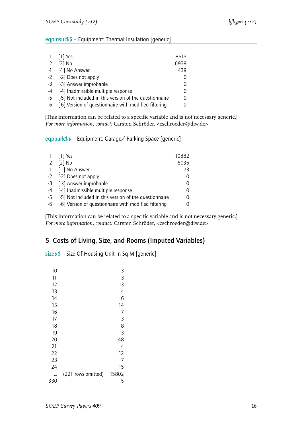#### <span id="page-17-0"></span>eqpinsul\$\$ – Equipment: Thermal Insulation [generic]

|   | 1 [1] Yes                                                 | 8613     |
|---|-----------------------------------------------------------|----------|
| 2 | $[2]$ No                                                  | 6939     |
|   | -1 [-1] No Answer                                         | 439      |
|   | -2 [-2] Does not apply                                    |          |
|   | -3 [-3] Answer improbable                                 |          |
|   | -4 [-4] Inadmissible multiple response                    | $\Omega$ |
|   | -5 [-5] Not included in this version of the questionnaire | 0        |
|   | -6 [-6] Version of questionnaire with modified filtering  |          |

[This information can be related to a specific variable and is not necessary generic.] *For more information, contact:* Carsten Schröder, <cschroeder@diw.de>

<span id="page-17-1"></span>eqppark\$\$ – Equipment: Garage/ Parking Space [generic]

|                | 1 [1] Yes                                                 | 10882 |
|----------------|-----------------------------------------------------------|-------|
| $\overline{2}$ | $[2]$ No                                                  | 5036  |
|                | -1 [-1] No Answer                                         | 73    |
|                | -2 [-2] Does not apply                                    | 0     |
|                | -3 [-3] Answer improbable                                 | 0     |
|                | -4 [-4] Inadmissible multiple response                    | 0     |
|                | -5 [-5] Not included in this version of the questionnaire | 0     |
|                | -6 [-6] Version of questionnaire with modified filtering  | Ω     |
|                |                                                           |       |

[This information can be related to a specific variable and is not necessary generic.] *For more information, contact:* Carsten Schröder, <cschroeder@diw.de>

## <span id="page-17-2"></span>5 Costs of Living, Size, and Rooms (Imputed Variables)

<span id="page-17-3"></span>size\$\$ – Size Of Housing Unit In Sq M [generic]

| 10  |                    | 3     |
|-----|--------------------|-------|
| 11  |                    | 3     |
| 12  |                    | 13    |
| 13  |                    | 4     |
| 14  |                    | 6     |
| 15  |                    | 14    |
| 16  |                    | 7     |
| 17  |                    | 3     |
| 18  |                    | 8     |
| 19  |                    | 3     |
| 20  |                    | 48    |
| 21  |                    | 4     |
| 22  |                    | 12    |
| 23  |                    | 7     |
| 24  |                    | 15    |
|     | (221 rows omitted) | 15802 |
| 330 |                    | 5     |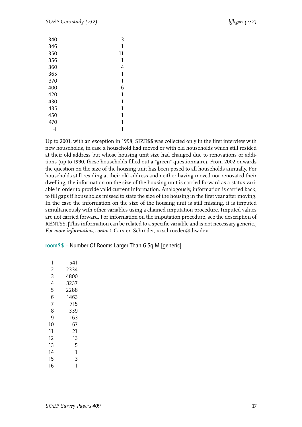| 340 | 3  |
|-----|----|
|     |    |
| 346 | 1  |
| 350 | 11 |
| 356 | 1  |
| 360 | 4  |
| 365 | 1  |
| 370 | 1  |
| 400 | 6  |
| 420 | 1  |
| 430 | 1  |
| 435 | 1  |
| 450 |    |
| 470 | 1  |
| -1  |    |

Up to 2001, with an exception in 1998, SIZE\$\$ was collected only in the first interview with new households, in case a household had moved or with old households which still resided at their old address but whose housing unit size had changed due to renovations or additions (up to 1990, these households filled out a "green" questionnaire). From 2002 onwards the question on the size of the housing unit has been posed to all households annually. For households still residing at their old address and neither having moved nor renovated their dwelling, the information on the size of the housing unit is carried forward as a status variable in order to provide valid current information. Analogously, information is carried back, to fill gaps if households missed to state the size of the housing in the first year after moving. In the case the information on the size of the housing unit is still missing, it is imputed simultaneously with other variables using a chained imputation procedure. Imputed values are not carried forward. For information on the imputation procedure, see the description of RENT\$\$. [This information can be related to a specific variable and is not necessary generic.] *For more information, contact:* Carsten Schröder, <cschroeder@diw.de>

| 1  | 541  |
|----|------|
| 2  | 2334 |
| 3  | 4800 |
| 4  | 3237 |
| 5  | 2288 |
| 6  | 1463 |
| 7  | 715  |
| 8  | 339  |
| 9  | 163  |
| 10 | 67   |
| 11 | 21   |
| 12 | 13   |
| 13 | 5    |
| 14 | 1    |
| 15 | 3    |
| 16 | 1    |

<span id="page-18-0"></span>room\$\$ – Number Of Rooms Larger Than 6 Sq M [generic]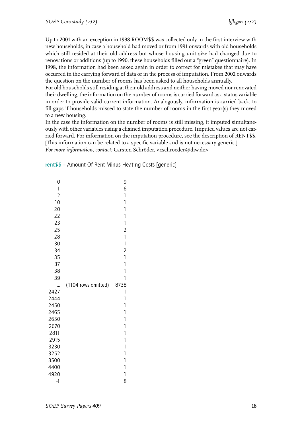Up to 2001 with an exception in 1998 ROOM\$\$ was collected only in the first interview with new households, in case a household had moved or from 1991 onwards with old households which still resided at their old address but whose housing unit size had changed due to renovations or additions (up to 1990, these households filled out a "green" questionnaire). In 1998, the information had been asked again in order to correct for mistakes that may have occurred in the carrying forward of data or in the process of imputation. From 2002 onwards the question on the number of rooms has been asked to all households annually.

For old households still residing at their old address and neither having moved nor renovated their dwelling, the information on the number of rooms is carried forward as a status variable in order to provide valid current information. Analogously, information is carried back, to fill gaps if households missed to state the number of rooms in the first year(s) they moved to a new housing.

In the case the information on the number of rooms is still missing, it imputed simultaneously with other variables using a chained imputation procedure. Imputed values are not carried forward. For information on the imputation procedure, see the description of RENT\$\$. [This information can be related to a specific variable and is not necessary generic.] *For more information, contact:* Carsten Schröder, <cschroeder@diw.de>

| 0<br>$\mathbf{1}$<br>$\overline{c}$ |                     | 9<br>6<br>$\mathbf{1}$       |
|-------------------------------------|---------------------|------------------------------|
| 10                                  |                     | 1                            |
| 20<br>22                            |                     | $\mathbf{1}$<br>$\mathbf{1}$ |
| 23                                  |                     | $\mathbf{1}$                 |
| 25                                  |                     | $\overline{2}$               |
| 28                                  |                     | 1                            |
| 30                                  |                     | $\mathbf{1}$                 |
| 34                                  |                     | $\overline{2}$               |
| 35                                  |                     | 1                            |
| 37                                  |                     | 1                            |
| 38                                  |                     | 1                            |
| 39                                  |                     | 1                            |
|                                     | (1104 rows omitted) | 8738                         |
| 2427<br>2444                        |                     | $\mathbf{1}$<br>$\mathbf{1}$ |
| 2450                                |                     | 1                            |
| 2465                                |                     | 1                            |
| 2650                                |                     | 1                            |
| 2670                                |                     | $\mathbf{1}$                 |
| 2811                                |                     | 1                            |
| 2915                                |                     | 1                            |
| 3230                                |                     | 1                            |
| 3252                                |                     | 1                            |
| 3500                                |                     | 1                            |
| 4400                                |                     | 1                            |
| 4920                                |                     | 1                            |
| $-1$                                |                     | 8                            |

<span id="page-19-0"></span>

| rent\$\$ - Amount Of Rent Minus Heating Costs [generic] |  |  |  |  |
|---------------------------------------------------------|--|--|--|--|
|---------------------------------------------------------|--|--|--|--|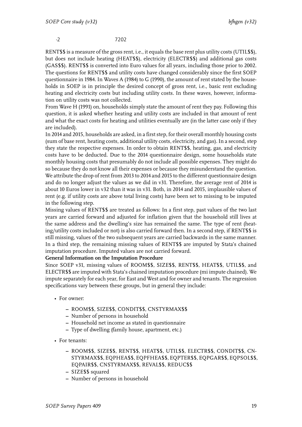-2 7202

RENT\$\$ is a measure of the gross rent, i.e., it equals the base rent plus utility costs (UTIL\$\$), but does not include heating (HEAT\$\$), electricity (ELECTR\$\$) and additional gas costs (GAS\$\$). RENT\$\$ is converted into Euro values for all years, including those prior to 2002. The questions for RENT\$\$ and utility costs have changed considerably since the first SOEP questionnaire in 1984. In Waves A (1984) to G (1990), the amount of rent stated by the households in SOEP is in principle the desired concept of gross rent, i.e., basic rent excluding heating and electricity costs but including utility costs. In these waves, however, information on utility costs was not collected.

From Wave H (1991) on, households simply state the amount of rent they pay. Following this question, it is asked whether heating and utility costs are included in that amount of rent and what the exact costs for heating and utilities eventually are (in the latter case only if they are included).

In 2014 and 2015, households are asked, in a first step, for their overall monthly housing costs (sum of base rent, heating costs, additional utility costs, electricity, and gas). In a second, step they state the respective expenses. In order to obtain RENT\$\$, heating, gas, and electricity costs have to be deducted. Due to the 2014 questionnaire design, some households state monthly housing costs that presumably do not include all possible expenses. They might do so because they do not know all their expenses or because they misunderstand the question. We attribute the drop of rent from 2013 to 2014 and 2015 to the different questionnaire design and do no longer adjust the values as we did in v31. Therefore, the average rent of 2014 is about 10 Euros lower in v32 than it was in v31. Both, in 2014 and 2015, implausible values of rent (e.g. if utility costs are above total living costs) have been set to missing to be imputed in the following step.

Missing values of RENT\$\$ are treated as follows: In a first step, past values of the two last years are carried forward and adjusted for inflation given that the household still lives at the same address and the dwelling's size has remained the same. The type of rent (heating/utility costs included or not) is also carried forward then. In a second step, if RENT\$\$ is still missing, values of the two subsequent years are carried backwards in the same manner. In a third step, the remaining missing values of RENT\$\$ are imputed by Stata's chained imputation procedure. Imputed values are not carried forward.

#### **General Information on the Imputation Procedure**

Since SOEP v31, missing values of ROOM\$\$, SIZE\$\$, RENT\$\$, HEAT\$\$, UTIL\$\$, and ELECTR\$\$ are imputed with Stata's chained imputation procedure (mi impute chained). We impute separately for each year, for East and West and for owner and tenants. The regression specifications vary between these groups, but in general they include:

- For owner:
	- **–** ROOM\$\$, SIZE\$\$, CONDIT\$\$, CNSTYRMAX\$\$
	- **–** Number of persons in household
	- **–** Household net income as stated in questionnaire
	- **–** Type of dwelling (family house, apartment, etc.)
- For tenants:
	- **–** ROOM\$\$, SIZE\$\$, RENT\$\$, HEAT\$\$, UTIL\$\$, ELECTR\$\$, CONDIT\$\$, CN-STYRMAX\$\$, EQPHEA\$\$, EQPFHEA\$\$, EQPTER\$\$, EQPGAR\$\$, EQPSOL\$\$, EQPAIR\$\$, CNSTYRMAX\$\$, REVAL\$\$, REDUC\$\$
	- **–** SIZE\$\$ squared
	- **–** Number of persons in household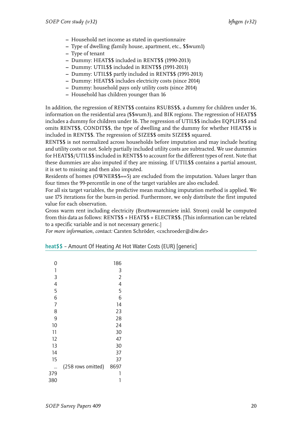- **–** Household net income as stated in questionnaire
- **–** Type of dwelling (family house, apartment, etc., \$\$wum1)
- **–** Type of tenant
- **–** Dummy: HEAT\$\$ included in RENT\$\$ (1990-2013)
- **–** Dummy: UTIL\$\$ included in RENT\$\$ (1991-2013)
- **–** Dummy: UTIL\$\$ partly included in RENT\$\$ (1991-2013)
- **–** Dummy: HEAT\$\$ includes electricity costs (since 2014)
- **–** Dummy: household pays only utility costs (since 2014)
- **–** Household has children younger than 16

In addition, the regression of RENT\$\$ contains RSUBS\$\$, a dummy for children under 16, information on the residential area (\$\$wum3), and BIK regions. The regression of HEAT\$\$ includes a dummy for children under 16. The regression of UTIL\$\$ includes EQPLIF\$\$ and omits RENT\$\$, CONDIT\$\$, the type of dwelling and the dummy for whether HEAT\$\$ is included in RENT\$\$. The regression of SIZE\$\$ omits SIZE\$\$ squared.

RENT\$\$ is not normalized across households before imputation and may include heating and utility costs or not. Solely partially included utility costs are subtracted. We use dummies for HEAT\$\$/UTIL\$\$ included in RENT\$\$ to account for the different types of rent. Note that these dummies are also imputed if they are missing. If UTIL\$\$ contains a partial amount, it is set to missing and then also imputed.

Residents of homes (OWNER\$\$==5) are excluded from the imputation. Values larger than four times the 99-percentile in one of the target variables are also excluded.

For all six target variables, the predictive mean matching imputation method is applied. We use 175 iterations for the burn-in period. Furthermore, we only distribute the first imputed value for each observation.

Gross warm rent including electricity (Bruttowarmmiete inkl. Strom) could be computed from this data as follows: RENT\$\$ + HEAT\$\$ + ELECTR\$\$. [This information can be related to a specific variable and is not necessary generic.]

| 0              |                    | 186            |
|----------------|--------------------|----------------|
| 1              |                    | 3              |
| 3              |                    | $\overline{2}$ |
| $\overline{4}$ |                    | 4              |
| 5              |                    | 5              |
| 6              |                    | 6              |
| $\overline{7}$ |                    | 14             |
| 8              |                    | 23             |
| 9              |                    | 28             |
| 10             |                    | 24             |
| 11             |                    | 30             |
| 12             |                    | 47             |
| 13             |                    | 30             |
| 14             |                    | 37             |
| 15             |                    | 37             |
|                | (258 rows omitted) | 8697           |
| 379            |                    | 1              |
| 380            |                    | 1              |

<span id="page-21-0"></span>

| heat\$\$ - Amount Of Heating At Hot Water Costs (EUR) [generic] |  |
|-----------------------------------------------------------------|--|
|-----------------------------------------------------------------|--|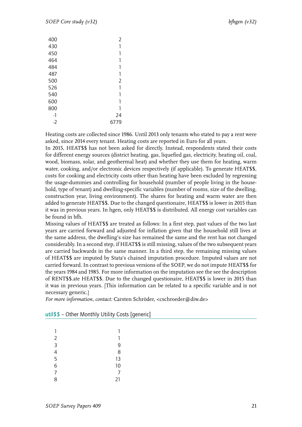| 400  | 2    |
|------|------|
| 430  | 1    |
| 450  | 1    |
| 464  | 1    |
| 484  | 1    |
| 487  | 1    |
| 500  | 2    |
| 526  | 1    |
| 540  | 1    |
| 600  | 1    |
| 800  | 1    |
| -1   | 24   |
| $-2$ | 6779 |

Heating costs are collected since 1986. Until 2013 only tenants who stated to pay a rent were asked, since 2014 every tenant. Heating costs are reported in Euro for all years.

In 2015, HEAT\$\$ has not been asked for directly. Instead, respondents stated their costs for different energy sources (district heating, gas, liquefied gas, electricity, heating oil, coal, wood, biomass, solar, and geothermal heat) and whether they use them for heating, warm water, cooking, and/or electronic devices respectively (if applicable). To generate HEAT\$\$, costs for cooking and electricity costs other than heating have been excluded by regressing the usage-dummies and controlling for household (number of people living in the household, type of tenant) and dwelling-specific variables (number of rooms, size of the dwelling, construction year, living environment). The shares for heating and warm water are then added to generate HEAT\$\$. Due to the changed questionaire, HEAT\$\$ is lower in 2015 than it was in previous years. In hgen, only HEAT\$\$ is distributed. All energy cost variables can be found in bfh.

Missing values of HEAT\$\$ are treated as follows: In a first step, past values of the two last years are carried forward and adjusted for inflation given that the household still lives at the same address, the dwelling's size has remained the same and the rent has not changed considerably. In a second step, if HEAT\$\$ is still missing, values of the two subsequent years are carried backwards in the same manner. In a third step, the remaining missing values of HEAT\$\$ are imputed by Stata's chained imputation procedure. Imputed values are not carried forward. In contrast to previous versions of the SOEP, we do not impute HEAT\$\$ for the years 1984 and 1985. For more information on the imputation see the see the description of RENT\$\$.ate HEAT\$\$. Due to the changed questionaire, HEAT\$\$ is lower in 2015 than it was in previous years. [This information can be related to a specific variable and is not necessary generic.]

| 1              | 1  |
|----------------|----|
| $\overline{2}$ | 1  |
| 3              | 9  |
| 4              | 8  |
| 5              | 13 |
| 6              | 10 |
| 7              | 7  |
| 8              | 21 |

<span id="page-22-0"></span>

| util\$\$ - Other Monthly Utility Costs [generic] |  |  |
|--------------------------------------------------|--|--|
|--------------------------------------------------|--|--|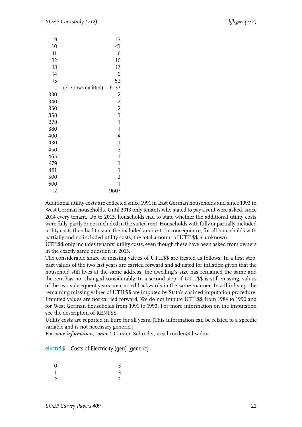| 9<br>10<br>11<br>12<br>13<br>14<br>15 |                    | 13<br>41<br>6<br>16<br>17<br>9<br>52 |
|---------------------------------------|--------------------|--------------------------------------|
|                                       | (217 rows omitted) | 6137                                 |
| 330                                   |                    | 2                                    |
| 340                                   |                    | $\overline{2}$                       |
| 350                                   |                    | $\overline{2}$                       |
| 358                                   |                    | 1                                    |
| 379                                   |                    | 1                                    |
| 380                                   |                    | 1                                    |
| 400                                   |                    | 4                                    |
| 430                                   |                    | 1                                    |
| 450                                   |                    | 3                                    |
| 465                                   |                    | 1                                    |
| 479                                   |                    | 1                                    |
| 481                                   |                    | 1                                    |
| 500                                   |                    | $\overline{2}$                       |
| 600                                   |                    | 1                                    |
| $-2$                                  |                    | 9607                                 |

Additional utility costs are collected since 1991 in East German households and since 1993 in West German households. Until 2013 only tenants who stated to pay a rent were asked, since 2014 every tenant. Up to 2013, households had to state whether the additional utility costs were fully, partly or not included in the stated rent. Households with fully or partially included utility costs then had to state the included amount. In consequence, for all households with partially and no included utility costs, the total amount of UTIL\$\$ is unknown.

UTIL\$\$ only includes tenants' utility costs, even though these have been asked from owners in the exactly same question in 2015.

The considerable share of missing values of UTIL\$\$ are treated as follows: In a first step, past values of the two last years are carried forward and adjusted for inflation given that the household still lives at the same address, the dwelling's size has remained the same and the rent has not changed considerably. In a second step, if UTIL\$\$ is still missing, values of the two subsequent years are carried backwards in the same manner. In a third step, the remaining missing values of UTIL\$\$ are imputed by Stata's chained imputation procedure. Imputed values are not carried forward. We do not impute UTIL\$\$ from 1984 to 1990 and for West German households from 1991 to 1993. For more information on the imputation see the description of RENT\$\$.

Utility costs are reported in Euro for all years. [This information can be related to a specific variable and is not necessary generic.]

<span id="page-23-0"></span>

|  |  |  | electr\$\$ - Costs of Electricity (gen) [generic] |  |  |  |
|--|--|--|---------------------------------------------------|--|--|--|
|--|--|--|---------------------------------------------------|--|--|--|

| $\overline{0}$           | $\overline{3}$ |  |
|--------------------------|----------------|--|
| $\overline{\phantom{a}}$ | $\overline{3}$ |  |
| $\overline{2}$           | $\overline{2}$ |  |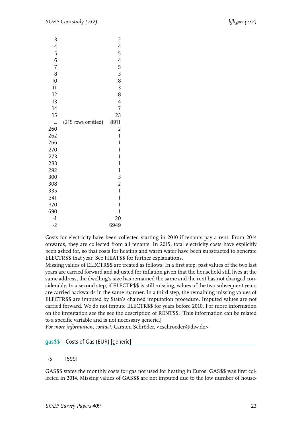| 3                        |                    | $\overline{c}$           |
|--------------------------|--------------------|--------------------------|
| $\overline{\mathcal{A}}$ |                    | $\overline{\mathcal{A}}$ |
| 5                        |                    | 5                        |
| 6                        |                    | $\overline{4}$           |
| 7                        |                    | 5                        |
| 8                        |                    | 3                        |
| 10                       |                    | 18                       |
| 11                       |                    | 3                        |
| 12                       |                    | 8                        |
| 13                       |                    | 4                        |
| 14                       |                    | 7                        |
| 15                       |                    | 23                       |
|                          | (215 rows omitted) | 8911                     |
| 260                      |                    | $\overline{c}$           |
| 262                      |                    | 1                        |
| 266                      |                    | 1                        |
| 270                      |                    | 1                        |
| 273                      |                    | 1                        |
| 283                      |                    | 1                        |
| 292                      |                    | $\mathbf{1}$             |
| 300                      |                    | 3                        |
| 308                      |                    | $\overline{2}$           |
| 335                      |                    | $\mathbf{1}$             |
| 341                      |                    | 1                        |
| 370                      |                    | 1                        |
| 690                      |                    | 1                        |
| $-1$                     |                    | 20                       |
| $-2$                     |                    | 6949                     |

Costs for electricity have been collected starting in 2010 if tenants pay a rent. From 2014 onwards, they are collected from all tenants. In 2015, total electricity costs have explicitly been asked for, so that costs for heating and warm water have been substracted to generate ELECTR\$\$ that year. See HEAT\$\$ for further explanations.

Missing values of ELECTR\$\$ are treated as follows: In a first step, past values of the two last years are carried forward and adjusted for inflation given that the household still lives at the same address, the dwelling's size has remained the same and the rent has not changed considerably. In a second step, if ELECTR\$\$ is still missing, values of the two subsequent years are carried backwards in the same manner. In a third step, the remaining missing values of ELECTR\$\$ are imputed by Stata's chained imputation procedure. Imputed values are not carried forward. We do not impute ELECTR\$\$ for years before 2010. For more information on the imputation see the see the description of RENT\$\$. [This information can be related to a specific variable and is not necessary generic.]

*For more information, contact:* Carsten Schröder, <cschroeder@diw.de>

#### <span id="page-24-0"></span>gas\$\$ – Costs of Gas (EUR) [generic]

#### -5 15991

GAS\$\$ states the monthly costs for gas not used for heating in Euros. GAS\$\$ was first collected in 2014. Missing values of GAS\$\$ are not imputed due to the low number of house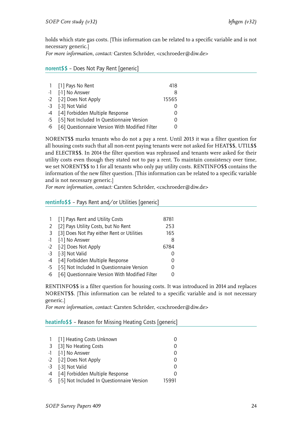holds which state gas costs. [This information can be related to a specific variable and is not necessary generic.]

*For more information, contact:* Carsten Schröder, <cschroeder@diw.de>

#### norent\$\$ – Does Not Pay Rent [generic]

|    | 1 [1] Pays No Rent                              | 418      |
|----|-------------------------------------------------|----------|
|    | -1 [-1] No Answer                               | 8        |
|    | -2 [-2] Does Not Apply                          | 15565    |
|    | -3 [-3] Not Valid                               |          |
|    | -4 [-4] Forbidden Multiple Response             | $\left($ |
|    | -5 [-5] Not Included In Questionnaire Version   |          |
| -6 | [-6] Questionnaire Version With Modified Filter |          |

NORENT\$\$ marks tenants who do not a pay a rent. Until 2013 it was a filter question for all housing costs such that all non-rent paying tenants were not asked for HEAT\$\$, UTIL\$\$ and ELECTR\$\$. In 2014 the filter question was rephrased and tenants were asked for their utility costs even though they stated not to pay a rent. To maintain consistency over time, we set NORENT\$\$ to 1 for all tenants who only pay utility costs. RENTINFO\$\$ contains the information of the new filter question. [This information can be related to a specific variable and is not necessary generic.]

*For more information, contact:* Carsten Schröder, <cschroeder@diw.de>

#### rentinfo\$\$ – Pays Rent and/or Utilities [generic]

|               | [1] Pays Rent and Utility Costs                 | 8781          |
|---------------|-------------------------------------------------|---------------|
| $\mathcal{L}$ | [2] Pays Utility Costs, but No Rent             | 253           |
| -3            | [3] Does Not Pay either Rent or Utilities       | 165           |
|               | -1 [-1] No Answer                               | 8             |
|               | -2 [-2] Does Not Apply                          | 6784          |
| $-3$          | [-3] Not Valid                                  | 0             |
| $-4$          | [-4] Forbidden Multiple Response                | $\Omega$      |
| -5            | [-5] Not Included In Questionnaire Version      | $\mathcal{O}$ |
| -6            | [-6] Questionnaire Version With Modified Filter |               |

RENTINFO\$\$ is a filter question for housing costs. It was introduced in 2014 and replaces NORENT\$\$. [This information can be related to a specific variable and is not necessary generic.]

*For more information, contact:* Carsten Schröder, <cschroeder@diw.de>

<span id="page-25-0"></span>heatinfo\$\$ – Reason for Missing Heating Costs [generic]

| 1 [1] Heating Costs Unknown                   |       |
|-----------------------------------------------|-------|
| 3 [3] No Heating Costs                        |       |
| -1 [-1] No Answer                             |       |
| -2 [-2] Does Not Apply                        |       |
| -3 [-3] Not Valid                             |       |
| -4 [-4] Forbidden Multiple Response           |       |
| -5 [-5] Not Included In Questionnaire Version | 15991 |
|                                               |       |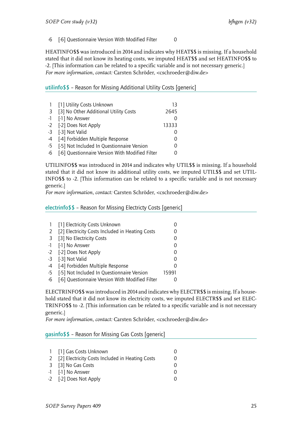#### -6 [-6] Questionnaire Version With Modified Filter 0

HEATINFO\$\$ was introduced in 2014 and indicates why HEAT\$\$ is missing. If a household stated that it did not know its heating costs, we imputed HEAT\$\$ and set HEATINFO\$\$ to -2. [This information can be related to a specific variable and is not necessary generic.] *For more information, contact:* Carsten Schröder, <cschroeder@diw.de>

<span id="page-26-0"></span>utilinfo $$$  $$$  – Reason for Missing Additional Utility Costs [generic]

|    | 1 [1] Utility Costs Unknown                     | 13            |
|----|-------------------------------------------------|---------------|
| 3  | [3] No Other Additional Utility Costs           | 2645          |
|    | -1 [-1] No Answer                               |               |
|    | -2 [-2] Does Not Apply                          | 13333         |
|    | -3 [-3] Not Valid                               |               |
|    | -4 [-4] Forbidden Multiple Response             |               |
|    | -5 [-5] Not Included In Questionnaire Version   | $\mathcal{O}$ |
| -6 | [-6] Questionnaire Version With Modified Filter |               |

UTILINFO\$\$ was introduced in 2014 and indicates why UTIL\$\$ is missing. If a household stated that it did not know its additional utility costs, we imputed UTIL\$\$ and set UTIL-INFO\$\$ to -2. [This information can be related to a specific variable and is not necessary generic.]

*For more information, contact:* Carsten Schröder, <cschroeder@diw.de>

<span id="page-26-1"></span>electrinfo\$\$ – Reason for Missing Electricty Costs [generic]

|      | [1] Electricity Costs Unknown                   |       |
|------|-------------------------------------------------|-------|
| 2    | [2] Electricity Costs Included in Heating Costs |       |
| - 3  | [3] No Electricity Costs                        |       |
|      | -1 [-1] No Answer                               |       |
|      | -2 [-2] Does Not Apply                          |       |
| -3   | [-3] Not Valid                                  |       |
| $-4$ | [-4] Forbidden Multiple Response                |       |
| -5   | [-5] Not Included In Questionnaire Version      | 15991 |
| -6   | [-6] Questionnaire Version With Modified Filter |       |

ELECTRINFO\$\$ was introduced in 2014 and indicates why ELECTR\$\$ is missing. If a household stated that it did not know its electricity costs, we imputed ELECTR\$\$ and set ELEC-TRINFO\$\$ to -2. [This information can be related to a specific variable and is not necessary generic.]

*For more information, contact:* Carsten Schröder, <cschroeder@diw.de>

#### <span id="page-26-2"></span>gasinfo\$\$ – Reason for Missing Gas Costs [generic]

| 1 [1] Gas Costs Unknown                           | 0 |
|---------------------------------------------------|---|
| 2 [2] Electricity Costs Included in Heating Costs | 0 |
| 3 [3] No Gas Costs                                | O |
| -1 [-1] No Answer                                 | O |
| -2 [-2] Does Not Apply                            | O |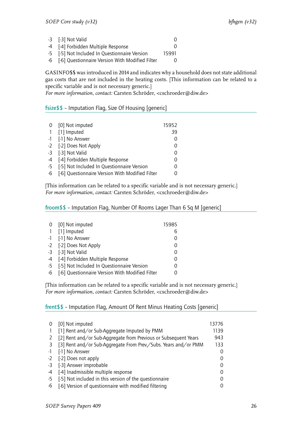| -3 [-3] Not Valid                                  |       |
|----------------------------------------------------|-------|
| -4 [-4] Forbidden Multiple Response                |       |
| -5 [-5] Not Included In Questionnaire Version      | 15991 |
| -6 [-6] Questionnaire Version With Modified Filter |       |

GASINFO\$\$ was introduced in 2014 and indicates why a household does not state additional gas costs that are not included in the heating costs. [This information can be related to a specific variable and is not necessary generic.]

*For more information, contact:* Carsten Schröder, <cschroeder@diw.de>

#### <span id="page-27-0"></span>fsize\$\$ – Imputation Flag, Size Of Housing [generic]

|    | 0 [0] Not imputed                               | 15952    |
|----|-------------------------------------------------|----------|
|    | 1 [1] Imputed                                   | 39       |
|    | -1 [-1] No Answer                               |          |
|    | -2 [-2] Does Not Apply                          | 0        |
|    | -3 [-3] Not Valid                               | 0        |
|    | -4 [-4] Forbidden Multiple Response             | 0        |
|    | -5 [-5] Not Included In Questionnaire Version   | $\Omega$ |
| -6 | [-6] Questionnaire Version With Modified Filter |          |

[This information can be related to a specific variable and is not necessary generic.] *For more information, contact:* Carsten Schröder, <cschroeder@diw.de>

<span id="page-27-1"></span>froom\$\$ – Imputation Flag, Number Of Rooms Lager Than 6 Sq M [generic]

|      | 0 [0] Not imputed                               | 15985 |
|------|-------------------------------------------------|-------|
|      | 1 [1] Imputed                                   | h     |
|      | -1 [-1] No Answer                               |       |
|      | -2 [-2] Does Not Apply                          |       |
|      | -3 [-3] Not Valid                               |       |
|      | -4 [-4] Forbidden Multiple Response             |       |
| $-5$ | [-5] Not Included In Questionnaire Version      |       |
| $-6$ | [-6] Questionnaire Version With Modified Filter |       |

[This information can be related to a specific variable and is not necessary generic.] *For more information, contact:* Carsten Schröder, <cschroeder@diw.de>

<span id="page-27-2"></span>frent\$\$ – Imputation Flag, Amount Of Rent Minus Heating Costs [generic]

| $\Omega$ | [0] Not imputed                                                 | 13776 |
|----------|-----------------------------------------------------------------|-------|
|          | [1] Rent and/or Sub-Aggregate Imputed by PMM                    | 1139  |
| 2        | [2] Rent and/or Sub-Aggregate from Previous or Subsequent Years | 943   |
| 3        | [3] Rent and/or Sub-Aggregate From Prev./Subs. Years and/or PMM | 133   |
| -1       | [-1] No Answer                                                  |       |
| -2       | [-2] Does not apply                                             |       |
| -3       | [-3] Answer improbable                                          |       |
| -4       | [-4] Inadmissible multiple response                             |       |
| -5       | [-5] Not included in this version of the questionnaire          |       |
| -6       | [-6] Version of questionnaire with modified filtering           |       |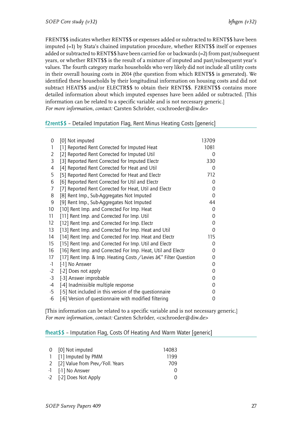FRENT\$\$ indicates whether RENT\$\$ or expenses added or subtracted to RENT\$\$ have been imputed (=1) by Stata's chained imputation procedure, whether RENT\$\$ itself or expenses added or subtracted to RENT\$\$ have been carried for- or backwards (=2) from past/subsequent years, or whether RENT\$\$ is the result of a mixture of imputed and past/subsequent year's values. The fourth category marks households who very likely did not include all utility costs in their overall housing costs in 2014 (the question from which RENT\$\$ is generated). We identified these households by their longitudinal information on housing costs and did not subtract HEAT\$\$ and/or ELECTR\$\$ to obtain their RENT\$\$. F2RENT\$\$ contains more detailed information about which imputed expenses have been added or subtracted. [This information can be related to a specific variable and is not necessary generic.] *For more information, contact:* Carsten Schröder, <cschroeder@diw.de>

#### <span id="page-28-0"></span>f2rent\$\$ – Detailed Imputation Flag, Rent Minus Heating Costs [generic]

| 0               | [0] Not imputed                                                  | 13709    |  |
|-----------------|------------------------------------------------------------------|----------|--|
| 1               | [1] Reported Rent Corrected for Imputed Heat                     | 1081     |  |
| 2               | [2] Reported Rent Corrected for Imputed Util                     | 0        |  |
| 3               | [3] Reported Rent Corrected for Imputed Electr                   | 330      |  |
| 4               | [4] Reported Rent Corrected for Heat and Util                    | 0        |  |
| 5               | [5] Reported Rent Corrected for Heat and Electr                  | 712      |  |
| 6               | [6] Reported Rent Corrected for Util and Electr                  | 0        |  |
| 7               | [7] Reported Rent Corrected for Heat, Util and Electr            | 0        |  |
| 8               | [8] Rent Imp., Sub-Aggregates Not Imputed                        | 0        |  |
| 9               | [9] Rent Imp., Sub-Aggregates Not Imputed                        | 44       |  |
| 10 <sup>°</sup> | [10] Rent Imp. and Corrected For Imp. Heat                       | 0        |  |
| 11              | [11] Rent Imp. and Corrected For Imp. Util                       | 0        |  |
| 12              | [12] Rent Imp. and Corrected For Imp. Electr                     | 0        |  |
| 13              | [13] Rent Imp. and Corrected For Imp. Heat and Util              | $\Omega$ |  |
| 14              | [14] Rent Imp. and Corrected For Imp. Heat and Electr            | 115      |  |
| 15              | [15] Rent Imp. and Corrected For Imp. Util and Electr            | 0        |  |
| 16              | [16] Rent Imp. and Corrected For Imp. Heat, Util and Electr      | 0        |  |
| 17              | [17] Rent Imp. & Imp. Heating Costs / Levies â€" Filter Question | 0        |  |
| $-1$            | [-1] No Answer                                                   | 0        |  |
| $-2$            | [-2] Does not apply                                              | 0        |  |
| $-3$            | [-3] Answer improbable                                           | 0        |  |
| -4              | [-4] Inadmissible multiple response                              | 0        |  |
| -5              | [-5] Not included in this version of the questionnaire           | 0        |  |
| -6              | [-6] Version of questionnaire with modified filtering            | 0        |  |

[This information can be related to a specific variable and is not necessary generic.] *For more information, contact:* Carsten Schröder, <cschroeder@diw.de>

#### <span id="page-28-1"></span>fheat\$\$ – Imputation Flag, Costs Of Heating And Warm Water [generic]

| 0 [0] Not imputed                    | 14083            |
|--------------------------------------|------------------|
| 1 [1] Imputed by PMM                 | 1199             |
| 2 [2] Value from Prev. / Foll. Years | 709              |
| -1 [-1] No Answer                    | $\left( \right)$ |
| -2 [-2] Does Not Apply               | $\left( \right)$ |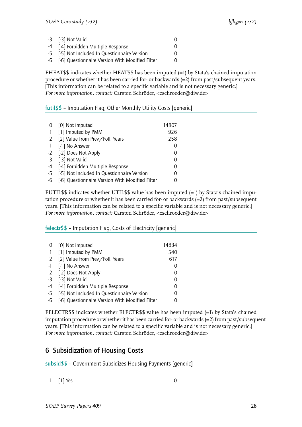| -3 [-3] Not Valid                                  | Ω |
|----------------------------------------------------|---|
| -4 [-4] Forbidden Multiple Response                | 0 |
| -5 [-5] Not Included In Questionnaire Version      | 0 |
| -6 [-6] Questionnaire Version With Modified Filter | 0 |

FHEAT\$\$ indicates whether HEAT\$\$ has been imputed (=1) by Stata's chained imputation procedure or whether it has been carried for- or backwards (=2) from past/subsequent years. [This information can be related to a specific variable and is not necessary generic.] *For more information, contact:* Carsten Schröder, <cschroeder@diw.de>

#### <span id="page-29-0"></span>futil\$\$ – Imputation Flag, Other Monthly Utility Costs [generic]

| 0              | [0] Not imputed                                 | 14807 |
|----------------|-------------------------------------------------|-------|
| $\overline{1}$ | [1] Imputed by PMM                              | 926   |
| 2              | [2] Value from Prev./Foll. Years                | 258   |
| $-1$           | [-1] No Answer                                  |       |
|                | -2 [-2] Does Not Apply                          |       |
|                | -3 [-3] Not Valid                               |       |
| -4             | [-4] Forbidden Multiple Response                |       |
| -5             | [-5] Not Included In Questionnaire Version      |       |
| -6             | [-6] Questionnaire Version With Modified Filter |       |

FUTIL\$\$ indicates whether UTIL\$\$ value has been imputed (=1) by Stata's chained imputation procedure or whether it has been carried for- or backwards (=2) from past/subsequent years. [This information can be related to a specific variable and is not necessary generic.] *For more information, contact:* Carsten Schröder, <cschroeder@diw.de>

#### <span id="page-29-1"></span>felectr\$\$ – Imputation Flag, Costs of Electricity [generic]

|                | 0 [0] Not imputed                               | 14834 |
|----------------|-------------------------------------------------|-------|
| $\overline{1}$ | [1] Imputed by PMM                              | 540   |
|                | 2 [2] Value from Prev. / Foll. Years            | 617   |
|                | -1 [-1] No Answer                               |       |
|                | -2 [-2] Does Not Apply                          |       |
|                | -3 [-3] Not Valid                               |       |
|                | -4 [-4] Forbidden Multiple Response             | 0     |
| $-5$           | [-5] Not Included In Questionnaire Version      | 0     |
| -6             | [-6] Questionnaire Version With Modified Filter |       |

FELECTR\$\$ indicates whether ELECTR\$\$ value has been imputed (=1) by Stata's chained imputation procedure or whether it has been carried for- or backwards (=2) from past/subsequent years. [This information can be related to a specific variable and is not necessary generic.] *For more information, contact:* Carsten Schröder, <cschroeder@diw.de>

### <span id="page-29-2"></span>6 Subsidization of Housing Costs

<span id="page-29-3"></span>subsid\$\$ – Government Subsidizes Housing Payments [generic]

1 [1] Yes 0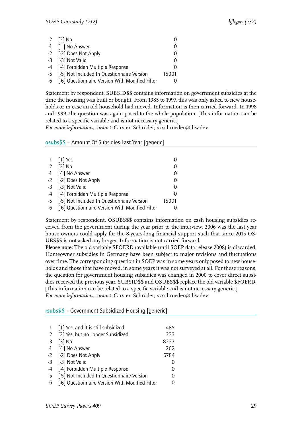| 2 $[2]$ No                                         |       |
|----------------------------------------------------|-------|
| -1 [-1] No Answer                                  |       |
| -2 [-2] Does Not Apply                             |       |
| -3 [-3] Not Valid                                  |       |
| -4 [-4] Forbidden Multiple Response                |       |
| -5 [-5] Not Included In Questionnaire Version      | 15991 |
| -6 [-6] Questionnaire Version With Modified Filter |       |

Statement by respondent. SUBSID\$\$ contains information on government subsidies at the time the housing was built or bought. From 1985 to 1997, this was only asked to new households or in case an old household had moved. Information is then carried forward. In 1998 and 1999, the question was again posed to the whole population. [This information can be related to a specific variable and is not necessary generic.]

*For more information, contact:* Carsten Schröder, <cschroeder@diw.de>

#### <span id="page-30-0"></span>osubs\$\$ – Amount Of Subsidies Last Year [generic]

|    | 1 [1] Yes                                       |       |
|----|-------------------------------------------------|-------|
|    | 2 [2] No                                        |       |
|    | -1 [-1] No Answer                               |       |
|    | -2 [-2] Does Not Apply                          |       |
|    | -3 [-3] Not Valid                               | 0     |
|    | -4 [-4] Forbidden Multiple Response             |       |
|    | -5 [-5] Not Included In Questionnaire Version   | 15991 |
| -6 | [-6] Questionnaire Version With Modified Filter |       |

Statement by respondent. OSUBS\$\$ contains information on cash housing subsidies received from the government during the year prior to the interview. 2006 was the last year house owners could apply for the 8-years-long financial support such that since 2015 OS-UBS\$\$ is not asked any longer. Information is not carried forward.

**Please note:** The old variable \$FOERD (available until SOEP data release 2008) is discarded. Homeowner subsidies in Germany have been subject to major revisions and fluctuations over time. The corresponding question in SOEP was in some years only posed to new households and those that have moved, in some years it was not surveyed at all. For these reasons, the question for government housing subsidies was changed in 2000 to cover direct subsidies received the previous year. SUBSID\$\$ and OSUBS\$\$ replace the old variable \$FOERD. [This information can be related to a specific variable and is not necessary generic.] *For more information, contact:* Carsten Schröder, <cschroeder@diw.de>

<span id="page-30-1"></span>rsubs\$\$ – Government Subsidized Housing [generic]

| [1] Yes, and it is still subsidized                | 485              |
|----------------------------------------------------|------------------|
| [2] Yes, but no Longer Subsidized                  | 233              |
| $[3]$ No                                           | 8227             |
| -1 [-1] No Answer                                  | 262              |
| -2 [-2] Does Not Apply                             | 6784             |
| -3 [-3] Not Valid                                  |                  |
| -4<br>[-4] Forbidden Multiple Response             | 0                |
| [-5] Not Included In Questionnaire Version<br>$-5$ | $\left( \right)$ |
| [-6] Questionnaire Version With Modified Filter    |                  |
|                                                    |                  |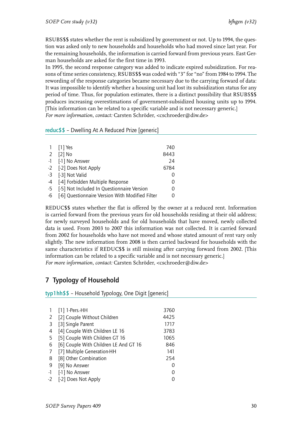RSUBS\$\$ states whether the rent is subsidized by government or not. Up to 1994, the question was asked only to new households and households who had moved since last year. For the remaining households, the information is carried forward from previous years. East German households are asked for the first time in 1993.

In 1995, the second response category was added to indicate expired subsidization. For reasons of time series consistency, RSUBS\$\$ was coded with "3" for "no" from 1984 to 1994. The rewording of the response categories became necessary due to the carrying forward of data: It was impossible to identify whether a housing unit had lost its subsidization status for any period of time. Thus, for population estimates, there is a distinct possibility that RSUBS\$\$ produces increasing overestimations of government-subsidized housing units up to 1994. [This information can be related to a specific variable and is not necessary generic.] *For more information, contact:* Carsten Schröder, <cschroeder@diw.de>

#### <span id="page-31-0"></span>reduc\$\$ – Dwelling At A Reduced Prize [generic]

| 1 [1] Yes                                          | 740              |
|----------------------------------------------------|------------------|
| 2 [2] No                                           | 8443             |
| -1 [-1] No Answer                                  | 24               |
| -2 [-2] Does Not Apply                             | 6784             |
| -3 [-3] Not Valid                                  | $\left( \right)$ |
| -4 [-4] Forbidden Multiple Response                | 0                |
| -5 [-5] Not Included In Questionnaire Version      | 0                |
| -6 [-6] Questionnaire Version With Modified Filter | 0                |

REDUC\$\$ states whether the flat is offered by the owner at a reduced rent. Information is carried forward from the previous years for old households residing at their old address; for newly surveyed households and for old households that have moved, newly collected data is used. From 2003 to 2007 this information was not collected. It is carried forward from 2002 for households who have not moved and whose stated amount of rent vary only slightly. The new information from 2008 is then carried backward for households with the same characteristics if REDUC\$\$ is still missing after carrying forward from 2002. [This information can be related to a specific variable and is not necessary generic.] *For more information, contact:* Carsten Schröder, <cschroeder@diw.de>

## <span id="page-31-1"></span>7 Typology of Household

<span id="page-31-2"></span>typ1hh\$\$ – Household Typology, One Digit [generic]

|    | $[1]$ 1-Pers.-HH                      | 3760 |
|----|---------------------------------------|------|
| 2  | [2] Couple Without Children           | 4425 |
| 3  | [3] Single Parent                     | 1717 |
| 4  | [4] Couple With Children LE 16        | 3783 |
| -5 | [5] Couple With Children GT 16        | 1065 |
| 6  | [6] Couple With Children LE And GT 16 | 846  |
| 7  | [7] Multiple Generation-HH            | 141  |
| 8  | [8] Other Combination                 | 254  |
| 9  | [9] No Answer                         | O    |
| -1 | [-1] No Answer                        |      |
| -2 | [-2] Does Not Apply                   |      |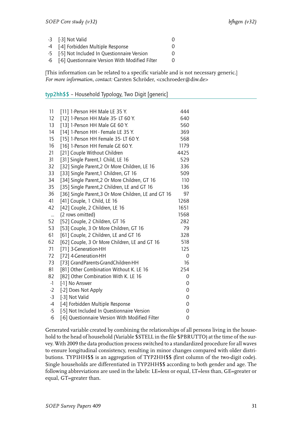| -3 [-3] Not Valid                                  |          |
|----------------------------------------------------|----------|
| -4 [-4] Forbidden Multiple Response                |          |
| -5 [-5] Not Included In Questionnaire Version      | $\Omega$ |
| -6 [-6] Questionnaire Version With Modified Filter | $\Omega$ |

[This information can be related to a specific variable and is not necessary generic.] *For more information, contact:* Carsten Schröder, <cschroeder@diw.de>

#### <span id="page-32-0"></span>typ2hh\$\$ – Household Typology, Two Digit [generic]

| 11        | [11] 1-Person HH Male LE 35 Y.                       | 444  |
|-----------|------------------------------------------------------|------|
| 12        | [12] 1-Person HH Male 35- LT 60 Y.                   | 640  |
| 13        | [13] 1-Person HH Male GE 60 Y.                       | 560  |
| 14        | [14] 1-Person HH - Female LE 35 Y.                   | 369  |
| 15        | [15] 1-Person HH Female 35-LT 60 Y.                  | 568  |
| 16        | [16] 1-Person HH Female GE 60 Y.                     | 1179 |
| 21        | [21] Couple Without Children                         | 4425 |
| 31        | [31] Single Parent,1 Child, LE 16                    | 529  |
| 32        | [32] Single Parent, 2 Or More Children, LE 16        | 336  |
| 33        | [33] Single Parent,1 Children, GT 16                 | 509  |
| 34        | [34] Single Parent, 2 Or More Children, GT 16        | 110  |
| 35        | [35] Single Parent, 2 Children, LE and GT 16         | 136  |
| 36        | [36] Single Parent, 3 Or More Children, LE and GT 16 | 97   |
| 41        | [41] Couple, 1 Child, LE 16                          | 1268 |
| 42        | [42] Couple, 2 Children, LE 16                       | 1651 |
| $\ddotsc$ | (2 rows omitted)                                     | 1568 |
| 52        | [52] Couple, 2 Children, GT 16                       | 282  |
| 53        | [53] Couple, 3 Or More Children, GT 16               | 79   |
| 61        | [61] Couple, 2 Children, LE and GT 16                | 328  |
| 62        | [62] Couple, 3 Or More Children, LE and GT 16        | 518  |
| 71        | [71] 3-Generation-HH                                 | 125  |
| 72        | [72] 4-Generation-HH                                 | 0    |
| 73        | [73] GrandParents-GrandChildren-HH                   | 16   |
| 81        | [81] Other Combination Without K. LE 16              | 254  |
| 82        | [82] Other Combination With K. LE 16                 | 0    |
| $-1$      | [-1] No Answer                                       | 0    |
| $-2$      | [-2] Does Not Apply                                  | 0    |
| $-3$      | [-3] Not Valid                                       | 0    |
| $-4$      | [-4] Forbidden Multiple Response                     | 0    |
| $-5$      | [-5] Not Included In Questionnaire Version           | 0    |
| $-6$      | [-6] Questionnaire Version With Modified Filter      | 0    |

Generated variable created by combining the relationships of all persons living in the household to the head of household (Variable \$STELL in the file \$PBRUTTO) at the time of the survey. With 2009 the data production process switched to a standardized procedure for all waves to ensure longitudinal consistency, resulting in minor changes compared with older distributions. TYP1HH\$\$ is an aggregation of TYP2HH\$\$ (first column of the two-digit code). Single households are differentiated in TYP2HH\$\$ according to both gender and age. The following abbreviations are used in the labels: LE=less or equal, LT=less than, GE=greater or equal, GT=greater than.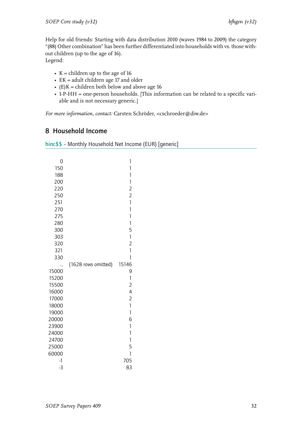Help for old friends: Starting with data distribution 2010 (waves 1984 to 2009) the category "(88) Other combination" has been further differentiated into households with vs. those without children (up to the age of 16).

Legend:

- $K =$  children up to the age of 16
- EK = adult children age 17 and older
- $(E)K =$  children both below and above age 16
- 1-P-HH = one-person households. [This information can be related to a specific variable and is not necessary generic.]

*For more information, contact:* Carsten Schröder, <cschroeder@diw.de>

## <span id="page-33-0"></span>8 Household Income

<span id="page-33-1"></span>

| hinc\$\$ - Monthly Household Net Income (EUR) [generic] |  |  |  |  |
|---------------------------------------------------------|--|--|--|--|
|---------------------------------------------------------|--|--|--|--|

| 0              |                     | $\mathbf{1}$                   |
|----------------|---------------------|--------------------------------|
| 150            |                     | $\mathbf{1}$                   |
| 188            |                     | $\overline{1}$                 |
| 200            |                     | $\mathbf{1}$                   |
| 220            |                     | $\overline{2}$                 |
| 250            |                     | $\overline{2}$                 |
| 251            |                     | $\mathbf{1}$                   |
| 270            |                     | $\overline{1}$                 |
| 275            |                     | $\overline{\mathbf{1}}$        |
| 280            |                     | $\mathbf{1}$                   |
| 300            |                     | 5                              |
| 303            |                     | $\mathbf{1}$                   |
| 320            |                     | $\overline{2}$                 |
| 321            |                     | $\mathbf{1}$                   |
| 330            |                     | 1                              |
|                | (1628 rows omitted) | 15146                          |
| 15000          |                     | 9                              |
| 15200          |                     | $\mathbf{1}$                   |
| 15500          |                     | $\overline{2}$                 |
| 16000          |                     | $\overline{4}$                 |
| 17000          |                     | $\overline{2}$                 |
| 18000          |                     | $\mathbf{1}$                   |
| 19000          |                     | $\mathbf{1}$                   |
| 20000          |                     | 6                              |
| 23900          |                     | $\mathbf{1}$<br>$\overline{1}$ |
| 24000          |                     | $\mathbf{1}$                   |
| 24700<br>25000 |                     | 5                              |
| 60000          |                     | 1                              |
| -1             |                     | 705                            |
| $-3$           |                     | 83                             |
|                |                     |                                |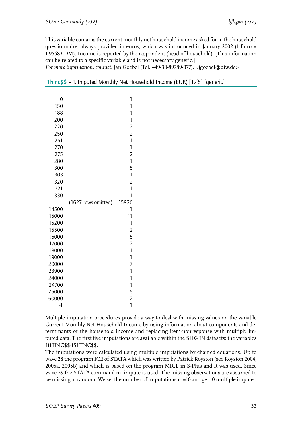This variable contains the current monthly net household income asked for in the household questionnaire, always provided in euros, which was introduced in January 2002 (1 Euro = 1.95583 DM). Income is reported by the respondent (head of household). [This information can be related to a specific variable and is not necessary generic.]

*For more information, contact:* Jan Goebel (Tel. +49-30-89789-377), <jgoebel@diw.de>

| 0        |                     | 1                         |
|----------|---------------------|---------------------------|
| 150      |                     | 1                         |
| 188      |                     | 1                         |
| 200      |                     | $\mathbb{I}$              |
| 220      |                     | $\overline{c}$            |
| 250      |                     | $\overline{2}$            |
| 251      |                     | $\mathbf{1}$              |
| 270      |                     | $\overline{\mathfrak{c}}$ |
| 275      |                     | $\overline{2}$            |
| 280      |                     | $\mathbf{1}$              |
| 300      |                     | 5                         |
| 303      |                     | $\mathbf{1}$              |
| 320      |                     | $\overline{c}$            |
| 321      |                     | $\overline{1}$            |
| 330      |                     | 1                         |
|          | (1627 rows omitted) | 15926                     |
| 14500    |                     | 1                         |
| 15000    |                     | 11                        |
| 15200    |                     | 1                         |
| 15500    |                     | $\overline{c}$            |
| 16000    |                     | 5                         |
| 17000    |                     | $\overline{c}$            |
| 18000    |                     | $\mathbf{1}$              |
| 19000    |                     | $\mathbf{1}$              |
| 20000    |                     | 7                         |
| 23900    |                     | 1                         |
| 24000    |                     | 1                         |
| 24700    |                     | $\mathbf{1}$              |
| 25000    |                     | 5                         |
| 60000    |                     | $\overline{2}$            |
| $\lceil$ |                     | 1                         |

<span id="page-34-0"></span>i1hinc\$\$ – 1. Imputed Monthly Net Household Income (EUR) [1/5] [generic]

Multiple imputation procedures provide a way to deal with missing values on the variable Current Monthly Net Household Income by using information about components and determinants of the household income and replacing item-nonresponse with multiply imputed data. The first five imputations are available within the \$HGEN datasets: the variables I1HINC\$\$-I5HINC\$\$.

The imputations were calculated using multiple imputations by chained equations. Up to wave 28 the program ICE of STATA which was written by Patrick Royston (see Royston 2004, 2005a, 2005b) and which is based on the program MICE in S-Plus and R was used. Since wave 29 the STATA command mi impute is used. The missing observations are assumed to be missing at random. We set the number of imputations m=10 and get 10 multiple imputed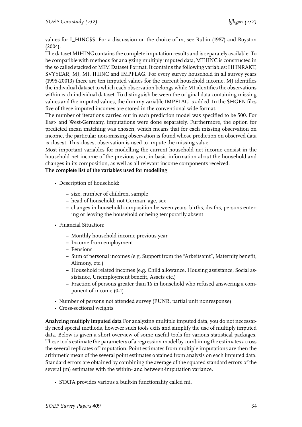values for I\_HINC\$\$. For a discussion on the choice of m, see Rubin (1987) and Royston (2004).

The dataset MIHINC contains the complete imputation results and is separately available. To be compatible with methods for analyzing multiply imputed data, MIHINC is constructed in the so called stacked or MIM Dataset Format. It contains the following variables: HHNRAKT, SVYYEAR, MJ, MI, IHINC and IMPFLAG. For every survey household in all survey years (1995-20013) there are ten imputed values for the current household income. MJ identifies the individual dataset to which each observation belongs while MI identifies the observations within each individual dataset. To distinguish between the original data containing missing values and the imputed values, the dummy variable IMPFLAG is added. In the \$HGEN files five of these imputed incomes are stored in the conventional wide format.

The number of iterations carried out in each prediction model was specified to be 500. For East- and West-Germany, imputations were done separately. Furthermore, the option for predicted mean matching was chosen, which means that for each missing observation on income, the particular non-missing observation is found whose prediction on observed data is closest. This closest observation is used to impute the missing value.

Most important variables for modelling the current household net income consist in the household net income of the previous year, in basic information about the household and changes in its composition, as well as all relevant income components received.

#### **The complete list of the variables used for modelling**

- Description of household:
	- **–** size, number of children, sample
	- **–** head of household: not German, age, sex
	- **–** changes in household composition between years: births, deaths, persons entering or leaving the household or being temporarily absent
- Financial Situation:
	- **–** Monthly household income previous year
	- **–** Income from employment
	- **–** Pensions
	- **–** Sum of personal incomes (e.g. Support from the "Arbeitsamt", Maternity benefit, Alimony, etc.)
	- **–** Household related incomes (e.g. Child allowance, Housing assistance, Social assistance, Unemployment benefit, Assets etc.)
	- **–** Fraction of persons greater than 16 in household who refused answering a component of income (0-1)
- Number of persons not attended survey (PUNR, partial unit nonresponse)
- Cross-sectional weights

**Analyzing multiply imputed data** For analyzing multiple imputed data, you do not necessarily need special methods, however such tools exits and simplify the use of multiply imputed data. Below is given a short overview of some useful tools for various statistical packages. These tools estimate the parameters of a regression model by combining the estimates across the several replicates of imputation. Point estimates from multiple imputations are then the arithmetic mean of the several point estimates obtained from analysis on each imputed data. Standard errors are obtained by combining the average of the squared standard errors of the several (m) estimates with the within- and between-imputation variance.

• STATA provides various a built-in functionality called mi.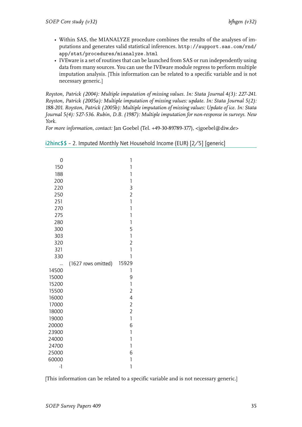- Within SAS, the MIANALYZE procedure combines the results of the analyses of imputations and generates valid statistical inferences. http://support.sas.com/rnd/ app/stat/procedures/mianalyze.html
- IVEware is a set of routines that can be launched from SAS or run independently using data from many sources. You can use the IVEware module regress to perform multiple [imputation analysis. \[This information can](http://support.sas.com/rnd/app/stat/procedures/mianalyze.html) be relat[ed to a specific variable and is not](http://support.sas.com/rnd/app/stat/procedures/mianalyze.html) necessary generic.]

*Royston, Patrick (2004): Multiple imputation of missing values. In: Stata Journal 4(3): 227-241. Royston, Patrick (2005a): Multiple imputation of missing values: update. In: Stata Journal 5(2): 188-201. Royston, Patrick (2005b): Multiple imputation of missing values: Update of ice. In: Stata Journal 5(4): 527-536. Rubin, D.B. (1987): Multiple imputation for non-response in surveys. New York.*

*For more information, contact:* Jan Goebel (Tel. +49-30-89789-377), <jgoebel@diw.de>

|  |  |  | i2hinc\$\$ - 2. Imputed Monthly Net Household Income (EUR) [2/5] [generic] |  |  |
|--|--|--|----------------------------------------------------------------------------|--|--|
|--|--|--|----------------------------------------------------------------------------|--|--|

<span id="page-36-0"></span>

| 0<br>150<br>188<br>200<br>220<br>250<br>251 |                     | 1<br>1<br>$\mathbf{1}$<br>$\mathbf{1}$<br>3<br>$\overline{2}$<br>$\mathbf{1}$ |
|---------------------------------------------|---------------------|-------------------------------------------------------------------------------|
| 270                                         |                     | 1                                                                             |
| 275                                         |                     | 1                                                                             |
| 280                                         |                     | $\overline{\mathbf{1}}$                                                       |
| 300                                         |                     | 5                                                                             |
| 303                                         |                     | $\mathbf{1}$                                                                  |
| 320                                         |                     | $\overline{a}$                                                                |
| 321                                         |                     | 1<br>1                                                                        |
| 330                                         |                     |                                                                               |
| 14500                                       | (1627 rows omitted) | 15929<br>1                                                                    |
| 15000                                       |                     | 9                                                                             |
| 15200                                       |                     | $\mathbf{1}$                                                                  |
| 15500                                       |                     | $\overline{c}$                                                                |
| 16000                                       |                     | 4                                                                             |
| 17000                                       |                     | $\overline{a}$                                                                |
| 18000                                       |                     | $\overline{2}$                                                                |
| 19000                                       |                     | $\mathbf{1}$                                                                  |
| 20000                                       |                     | 6                                                                             |
| 23900                                       |                     | $\mathbf{1}$                                                                  |
| 24000                                       |                     | 1                                                                             |
| 24700                                       |                     | 1                                                                             |
| 25000                                       |                     | 6                                                                             |
| 60000<br>$-1$                               |                     | 1<br>1                                                                        |
|                                             |                     |                                                                               |

[This information can be related to a specific variable and is not necessary generic.]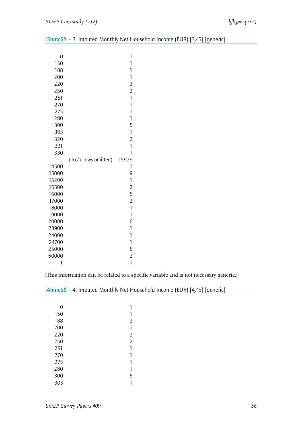| 0          |                     | 1                 |
|------------|---------------------|-------------------|
| 150        |                     | 1                 |
| 188        |                     | 1                 |
| 200        |                     | 1                 |
| 220        |                     | 3                 |
| 250        |                     | $\overline{2}$    |
| 251        |                     | 1                 |
| 270        |                     | 1                 |
| 275        |                     | 1                 |
| 280        |                     | 1                 |
| 300<br>303 |                     | 5<br>$\mathbf{1}$ |
| 320        |                     | $\overline{2}$    |
| 321        |                     | 1                 |
| 330        |                     | 1                 |
|            | (1627 rows omitted) | 15929             |
| <br>14500  |                     | 1                 |
| 15000      |                     | 9                 |
| 15200      |                     | $\mathbf{1}$      |
| 15500      |                     | $\overline{c}$    |
| 16000      |                     |                   |
| 17000      |                     | $\frac{5}{2}$     |
| 18000      |                     | $\mathbf{1}$      |
| 19000      |                     | $\mathbf{1}$      |
| 20000      |                     | 6                 |
| 23900      |                     | $\mathbf{1}$      |
| 24000      |                     | 1                 |
| 24700      |                     | $\mathbf{1}$      |
| 25000      |                     | 5                 |
| 60000      |                     | $\overline{c}$    |
| $-1$       |                     | 1                 |

<span id="page-37-0"></span>i3hinc\$\$ – 3. Imputed Monthly Net Household Income (EUR) [3/5] [generic]

[This information can be related to a specific variable and is not necessary generic.]

| 0   | 1              |
|-----|----------------|
| 150 | 1              |
| 188 | $\overline{2}$ |
| 200 | 1              |
| 220 | $\overline{2}$ |
| 250 | $\overline{2}$ |
| 251 | 1              |
| 270 | 1              |
| 275 | 1              |
| 280 | 1              |
| 300 | 5              |
| 303 | 1              |

<span id="page-37-1"></span>i4hinc\$\$ – 4. Imputed Monthly Net Household Income (EUR) [4/5] [generic]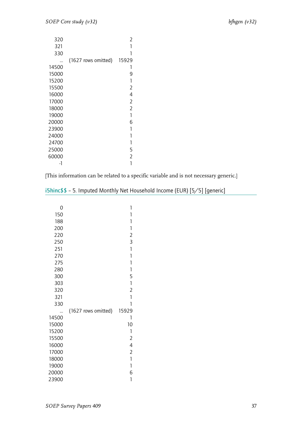| 320   |                     | 2              |
|-------|---------------------|----------------|
| 321   |                     |                |
| 330   |                     |                |
|       | (1627 rows omitted) | 15929          |
| 14500 |                     | 1              |
| 15000 |                     | 9              |
| 15200 |                     | 1              |
| 15500 |                     | 2              |
| 16000 |                     | 4              |
| 17000 |                     | 2              |
| 18000 |                     | $\overline{2}$ |
| 19000 |                     | 1              |
| 20000 |                     | 6              |
| 23900 |                     | 1              |
| 24000 |                     | 1              |
| 24700 |                     | 1              |
| 25000 |                     | 5              |
| 60000 |                     | 2              |
| -1    |                     |                |

[This information can be related to a specific variable and is not necessary generic.]

| 0     |                     | 1                                                             |
|-------|---------------------|---------------------------------------------------------------|
| 150   |                     | 1                                                             |
| 188   |                     | 1                                                             |
| 200   |                     | $\mathbb{I}$                                                  |
| 220   |                     | $\overline{2}$                                                |
| 250   |                     | 3                                                             |
| 251   |                     | $\mathbf{1}$                                                  |
| 270   |                     | 1                                                             |
| 275   |                     | 1                                                             |
| 280   |                     | 1                                                             |
| 300   |                     | 5                                                             |
| 303   |                     | $\begin{array}{c} \n \downarrow \n \downarrow \n \end{array}$ |
| 320   |                     | $\overline{2}$                                                |
| 321   |                     | 1                                                             |
| 330   |                     | 1                                                             |
|       | (1627 rows omitted) | 15929                                                         |
| 14500 |                     | 1                                                             |
| 15000 |                     | 10                                                            |
| 15200 |                     | 1                                                             |
| 15500 |                     | $\overline{2}$                                                |
| 16000 |                     | $\overline{4}$                                                |
| 17000 |                     | $\overline{2}$                                                |
| 18000 |                     | 1                                                             |
| 19000 |                     | 1                                                             |
| 20000 |                     | 6                                                             |
| 23900 |                     | 1                                                             |

<span id="page-38-0"></span>i5hinc\$\$ – 5. Imputed Monthly Net Household Income (EUR) [5/5] [generic]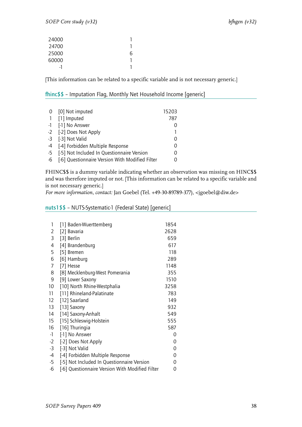| 24000 |   |
|-------|---|
| 24700 |   |
| 25000 | n |
| 60000 |   |
|       |   |

[This information can be related to a specific variable and is not necessary generic.]

#### <span id="page-39-0"></span>fhinc\$\$ – Imputation Flag, Monthly Net Household Income [generic]

|              | 0 [0] Not imputed                               | 15203 |
|--------------|-------------------------------------------------|-------|
| $\mathbf{1}$ | [1] Imputed                                     | 787   |
|              | -1 [-1] No Answer                               |       |
|              | -2 [-2] Does Not Apply                          |       |
|              | -3 [-3] Not Valid                               | 0     |
|              | -4 [-4] Forbidden Multiple Response             | 0     |
|              | -5 [-5] Not Included In Questionnaire Version   | 0     |
| $-6$         | [-6] Questionnaire Version With Modified Filter |       |

FHINC\$\$ is a dummy variable indicating whether an observation was missing on HINC\$\$ and was therefore imputed or not. [This information can be related to a specific variable and is not necessary generic.]

*For more information, contact:* Jan Goebel (Tel. +49-30-89789-377), <jgoebel@diw.de>

#### <span id="page-39-1"></span>nuts1\$\$ – NUTS-Systematic-1 (Federal State) [generic]

| 1    | [1] Baden-Wuerttemberg                          | 1854 |
|------|-------------------------------------------------|------|
| 2    | [2] Bavaria                                     | 2628 |
| 3    | [3] Berlin                                      | 659  |
| 4    | [4] Brandenburg                                 | 617  |
| 5    | [5] Bremen                                      | 118  |
| 6    | [6] Hamburg                                     | 289  |
| 7    | [7] Hesse                                       | 1148 |
| 8    | [8] Mecklenburg-West Pomerania                  | 355  |
| 9    | [9] Lower Saxony                                | 1510 |
| 10   | [10] North Rhine-Westphalia                     | 3258 |
| 11   | [11] Rhineland-Palatinate                       | 783  |
| 12   | [12] Saarland                                   | 149  |
| 13   | [13] Saxony                                     | 932  |
| 14   | [14] Saxony-Anhalt                              | 549  |
| 15   | [15] Schleswig-Holstein                         | 555  |
| 16   | [16] Thuringia                                  | 587  |
| $-1$ | [-1] No Answer                                  | 0    |
| $-2$ | [-2] Does Not Apply                             | 0    |
| $-3$ | [-3] Not Valid                                  | 0    |
| $-4$ | [-4] Forbidden Multiple Response                | 0    |
| $-5$ | [-5] Not Included In Questionnaire Version      | 0    |
| $-6$ | [-6] Questionnaire Version With Modified Filter | 0    |
|      |                                                 |      |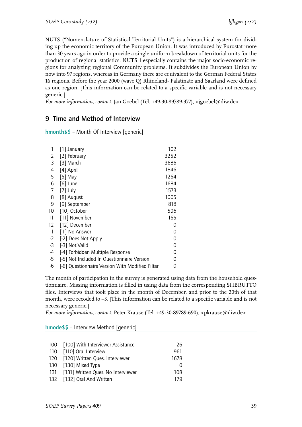NUTS ("Nomenclature of Statistical Territorial Units") is a hierarchical system for dividing up the economic territory of the European Union. It was introduced by Eurostat more than 30 years ago in order to provide a single uniform breakdown of territorial units for the production of regional statistics. NUTS 1 especially contains the major socio-economic regionsf[or analyzing regional Community problems. It s](�� h t t p : / / e c . e u r o p a . e u / e u r o s t a t / r a m o n / # _ b l a n k % 2 0  h t t p : / / e c . e u r o p a . e u / e u r o s t a t / r a m o n /)ubdivides the European Union by now into 97 regions, whereas in Germany there are equivalent to the German Federal States 16 regions. Before the year 2000 (wave Q) Rhineland- Palatinate and Saarland were defined as one region. [This information can be related to a specific variable and is not necessary generic.]

*For more information, contact:* Jan Goebel (Tel. +49-30-89789-377), <jgoebel@diw.de>

## 9 Time and Method of Interview

hmonth\$\$ – Month Of Interview [generic]

| 1    | $[1]$ January                                   | 102  |
|------|-------------------------------------------------|------|
| 2    | [2] February                                    | 3252 |
| 3    | [3] March                                       | 3686 |
| 4    | [4] April                                       | 1846 |
| 5    | [5] May                                         | 1264 |
| 6    | $[6]$ June                                      | 1684 |
| 7    | $[7]$ July                                      | 1573 |
| 8    | [8] August                                      | 1005 |
| 9    | [9] September                                   | 818  |
| 10   | [10] October                                    | 596  |
| 11   | [11] November                                   | 165  |
| 12   | [12] December                                   | 0    |
| -1   | [-1] No Answer                                  | 0    |
| $-2$ | [-2] Does Not Apply                             | 0    |
| -3   | [-3] Not Valid                                  | 0    |
| -4   | [-4] Forbidden Multiple Response                | 0    |
| -5   | [-5] Not Included In Questionnaire Version      | 0    |
| -6   | [-6] Questionnaire Version With Modified Filter | 0    |

The month of participation in the survey is generated using data from the household questionnaire. Missing information is filled in using data from the corresponding \$HBRUTTO files. Interviews that took place in the month of December, and prior to the 20th of that month, were recoded to –3. [This information can be related to a specific variable and is not necessary generic.]

*For more information, contact:* Peter Krause (Tel. +49-30-89789-690), <pkrause@diw.de>

hmode\$\$ – Interview Method [generic]

| 100 [100] With Interviewer Assistance  | 26   |
|----------------------------------------|------|
| 110 [110] Oral Interview               | 961  |
| 120 [120] Written Ques. Interviewer    | 1678 |
| 130 [130] Mixed Type                   |      |
| 131 [131] Written Ques. No Interviewer | 108  |
| 132 [132] Oral And Written             | 179  |